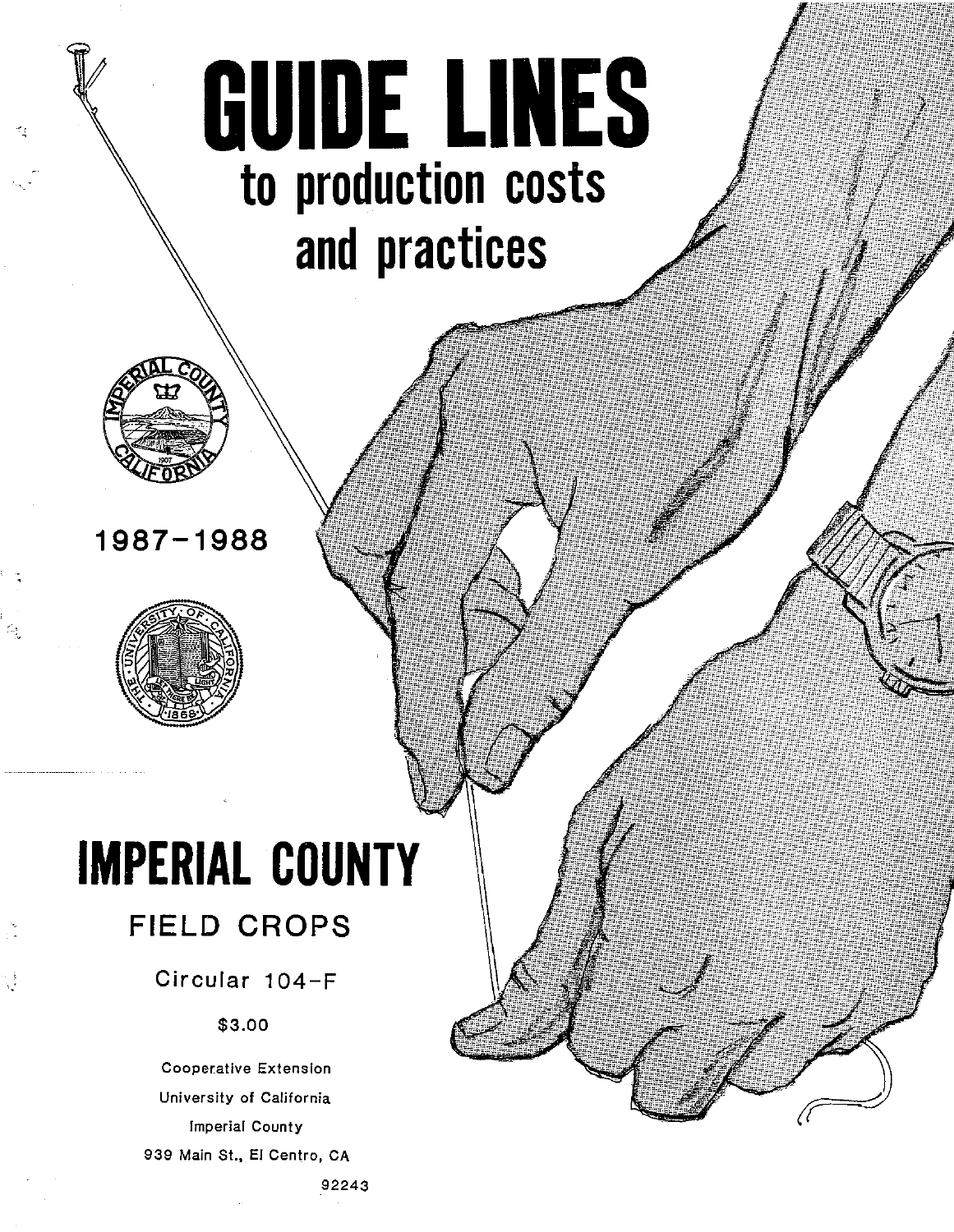# **GUIDE LINES to production costs and practices**



## **1987-1988**



## **IMPERIAL COUNTY FIELD CROPS**

## Circular 104-F

### \$3.00

Cooperative Extension University of California Imperial County 939 Main St., El Centro, CA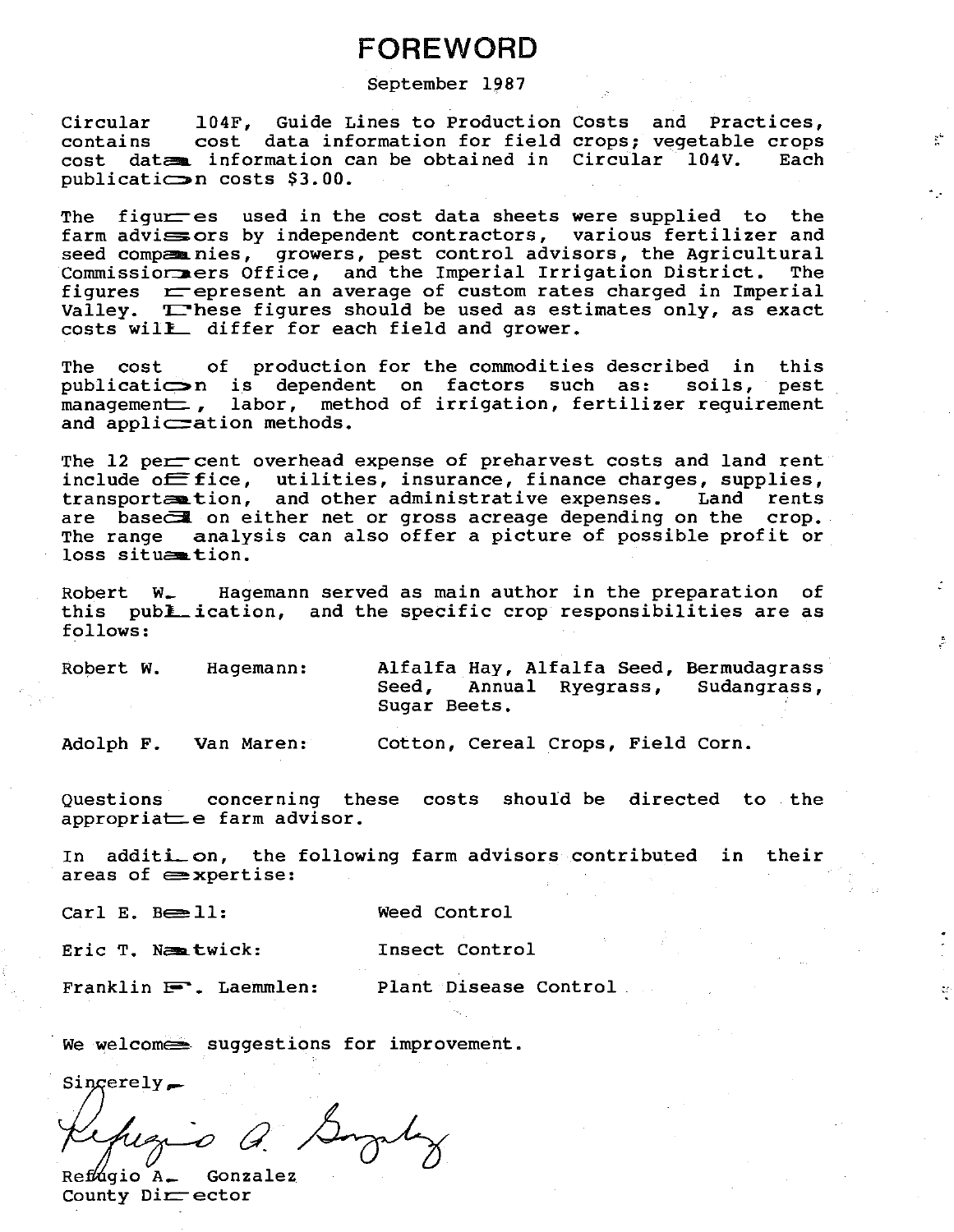## **FOREWORD**

#### September 1987

104F, Guide Lines to Production Costs and Practices, Circular cost data information for field crops; vegetable crops contains cost data information can be obtained in Circular 104V. Each publicati $\implies$ n costs \$3.00.

The figur es used in the cost data sheets were supplied to the farm advisors by independent contractors, various fertilizer and seed competinies, growers, pest control advisors, the Agricultural Commission areas Office, and the Imperial Irrigation District. The figures represent an average of custom rates charged in Imperial Valley. These figures should be used as estimates only, as exact costs will differ for each field and grower.

The cost of production for the commodities described in this publicatic is dependent on factors such as: soils, pest management, labor, method of irrigation, fertilizer requirement and appliceation methods.

The 12 per cent overhead expense of preharvest costs and land rent include off fice, utilities, insurance, finance charges, supplies, transportention, and other administrative expenses. Land rents are base on either net or gross acreage depending on the crop. The range analysis can also offer a picture of possible profit or loss situe tion.

Hagemann served as main author in the preparation of  $Robert$   $W_{-}$ this publ\_ication, and the specific crop responsibilities are as follows:

Robert W. Hagemann:

Alfalfa Hay, Alfalfa Seed, Bermudagrass Seed. Annual Ryegrass, Sudangrass, Sugar Beets.

 $\mathbb{R}^n$ 

 $\frac{d\mathbf{y}}{d}$ 

Adolph F. Van Maren:

Cotton, Cereal Crops, Field Corn.

concerning these costs should be directed to the Ouestions appropriate farm advisor.

In additi\_on, the following farm advisors contributed in their areas of  $\equiv$  xpertise:

Carl E. Besll:

Weed Control

Eric T. Netwick:

Insect Control

Franklin  $F$ . Laemmlen:

Plant Disease Control

We welcomes suggestions for improvement.

 $Sincerely$ 

is a Simply

 $RefMqio A$ . Gonzalez County  $Dir<sub>0</sub>$  ector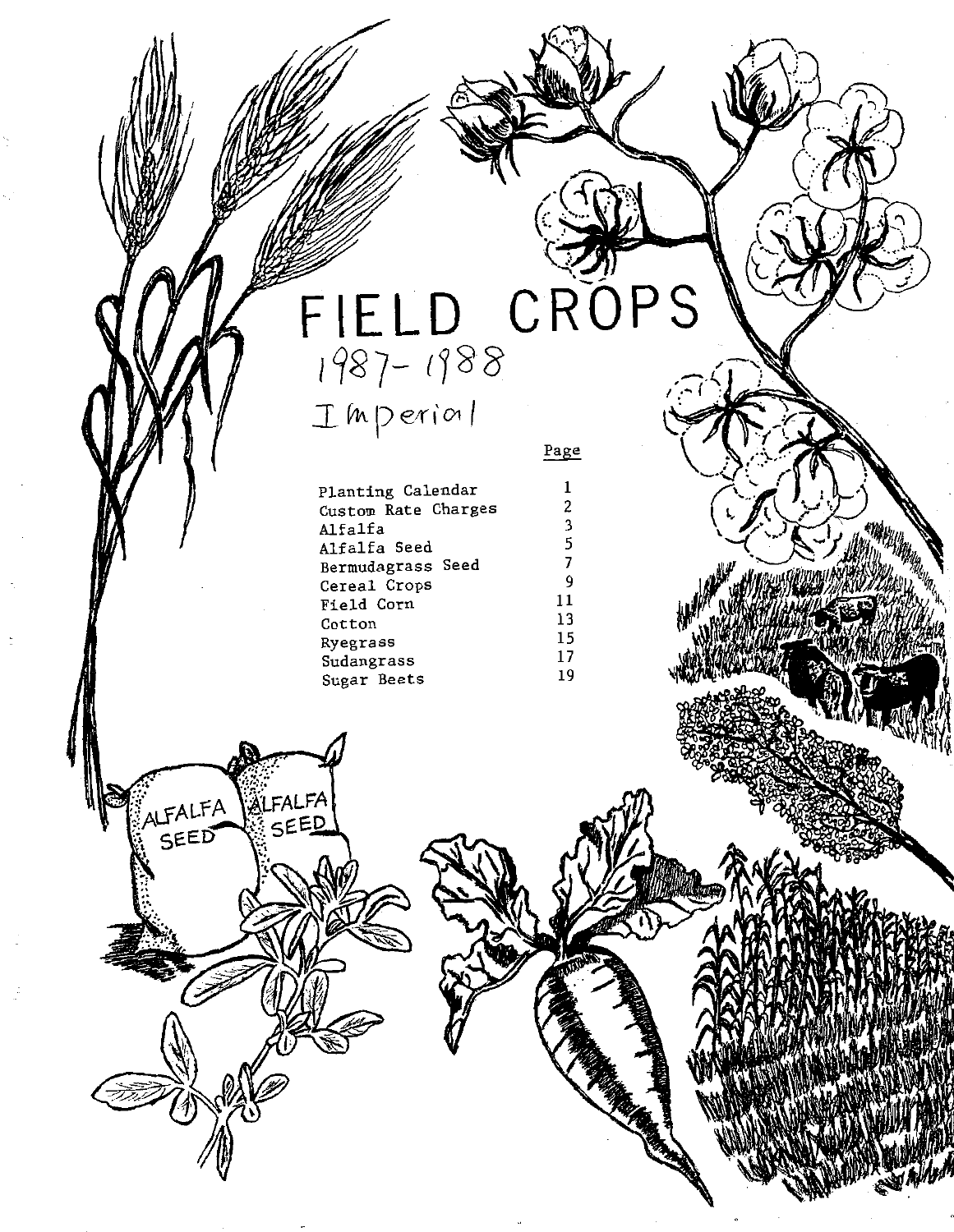## CRÓPS  $FIELD 1987 - 1988$  $I$  In perior  $|$

Page

 $\mathbf 1$ 

 $\sqrt{2}$ 

 $\overline{3}$ 

 $\overline{5}$ 

 $\overline{7}$ 

 $\overline{9}$ 

 $11$ 

 $13$ 

15

17

19

Planting Calendar Custom Rate Charges Alfalfa Alfalfa Seed Bermudagrass Seed Cereal Crops Field Corn Cotton Ryegrass Sudangrass Sugar Beets

**ALFALFA**<br>SEED

FALFA SEED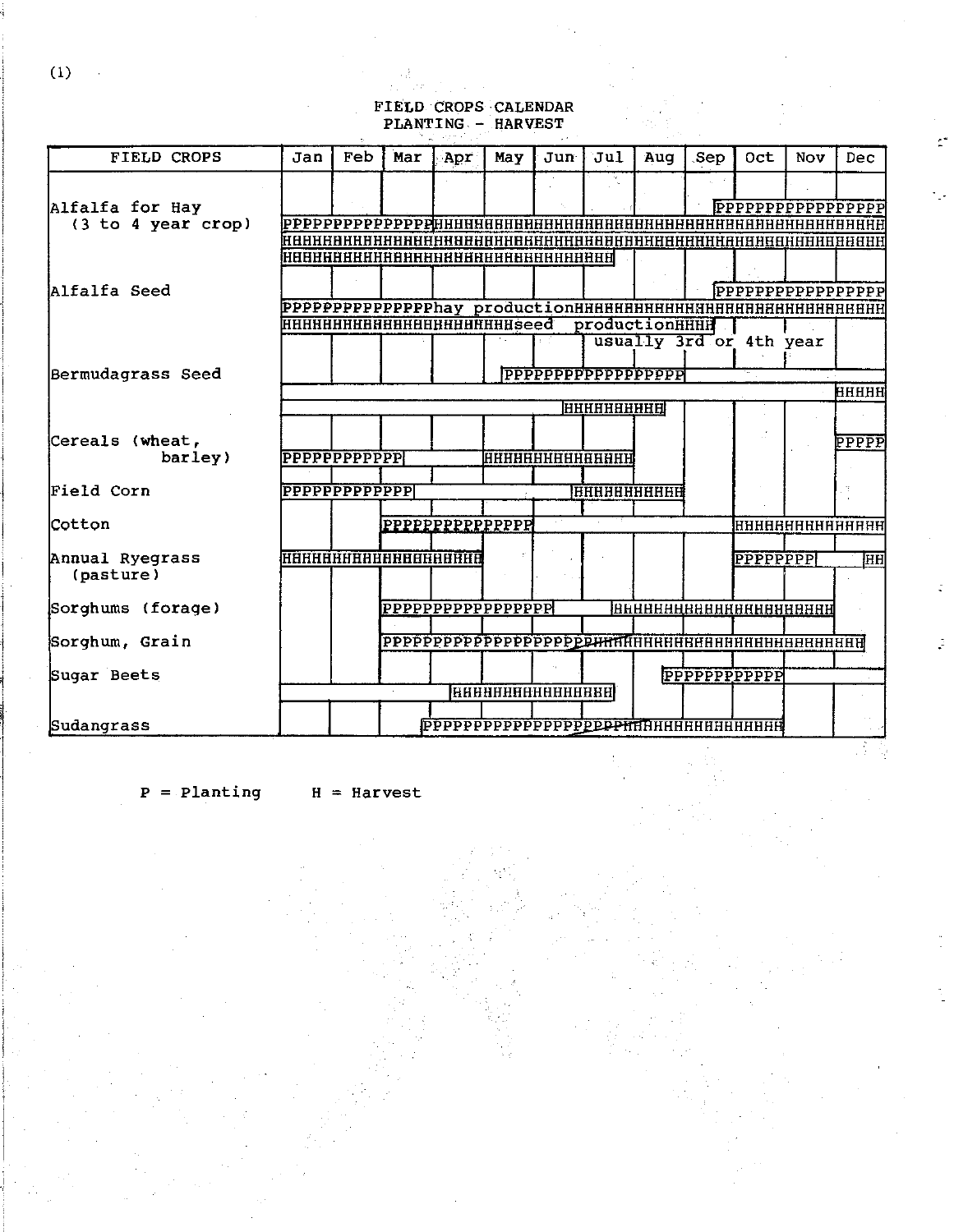### FIELD CROPS CALENDAR<br>PLANTING - HARVEST Ų.

è,

| <b>FIELD CROPS</b> | Jan                            | Feb | Mar              | Apr | May | Jun                          | <b>Jul</b>         | Aug            | Sep | Oct                                             | Nov | Dec       |
|--------------------|--------------------------------|-----|------------------|-----|-----|------------------------------|--------------------|----------------|-----|-------------------------------------------------|-----|-----------|
|                    |                                |     |                  |     |     |                              |                    |                |     |                                                 |     |           |
| Alfalfa for Hay    |                                |     |                  |     |     |                              |                    |                |     |                                                 |     |           |
| (3 to 4 year crop) |                                |     |                  |     |     |                              |                    |                |     |                                                 |     |           |
|                    |                                |     |                  |     |     |                              |                    |                |     |                                                 |     |           |
|                    |                                |     |                  |     |     | нннннннннннннннннннннннннннн |                    |                |     |                                                 |     |           |
|                    |                                |     |                  |     |     |                              |                    |                |     |                                                 |     |           |
| Alfalfa Seed       |                                |     |                  |     |     |                              |                    |                |     | PPPPPPPPPPPPPPPPP                               |     |           |
|                    |                                |     |                  |     |     |                              |                    |                |     |                                                 |     |           |
|                    | нннннннннннннннннннннseed      |     |                  |     |     |                              |                    | productionHHHH |     | usually 3rd or 4th year                         |     |           |
|                    |                                |     |                  |     |     |                              |                    |                |     |                                                 |     |           |
| Bermudagrass Seed  |                                |     |                  |     |     |                              |                    |                |     |                                                 |     |           |
|                    |                                |     |                  |     |     |                              |                    |                |     |                                                 |     | ННННН     |
|                    |                                |     |                  |     |     |                              | <u> нңнннннннн</u> |                |     |                                                 |     |           |
|                    |                                |     |                  |     |     |                              |                    |                |     |                                                 |     |           |
| Cereals (wheat,    |                                |     |                  |     |     |                              |                    |                |     |                                                 |     | PPPPP     |
| barley)            |                                |     |                  |     |     | <b>HHHHHHHHHHHHHH</b>        |                    |                |     |                                                 |     |           |
| Field Corn         | <b>PPPPPPPPPPPPPP</b>          |     |                  |     |     |                              |                    |                |     |                                                 |     |           |
|                    |                                |     |                  |     |     |                              |                    |                |     |                                                 |     |           |
| Cotton             |                                |     | PPPPPPPPPPPPPPPP |     |     |                              |                    |                |     | <b>ННННЯНННННННННН</b>                          |     |           |
|                    |                                |     |                  |     |     |                              |                    |                |     |                                                 |     |           |
| Annual Ryegrass    | <b>HARRA BARBA BARBA BARBA</b> |     |                  |     |     |                              |                    |                |     | <b>PPPPPPPPP</b>                                |     | <b>HH</b> |
| (pasture)          |                                |     |                  |     |     |                              |                    |                |     |                                                 |     |           |
|                    |                                |     |                  |     |     |                              |                    |                |     |                                                 |     |           |
| Sorghums (forage)  |                                |     |                  |     |     |                              |                    |                |     | <b>ВННВЕНЕЕННЕЕННЕЕННЕЕН</b>                    |     |           |
|                    |                                |     |                  |     |     |                              |                    |                |     |                                                 |     |           |
| Sorghum, Grain     |                                |     |                  |     |     |                              |                    |                |     |                                                 |     |           |
| Sugar Beets        |                                |     |                  |     |     |                              |                    |                |     | PPPPPPPPPPPP                                    |     |           |
|                    |                                |     |                  |     |     | <b>RABHHHHHHHHHHHH</b>       |                    |                |     |                                                 |     |           |
|                    |                                |     |                  |     |     |                              |                    |                |     |                                                 |     |           |
| Sudangrass         |                                |     |                  |     |     |                              |                    |                |     | PPPPPPPPPPPPPPPPPP <del>PPPPHRHHHHHHHHHHH</del> |     |           |
|                    |                                |     |                  |     |     |                              |                    |                |     |                                                 |     |           |

 $P =$ Planting  $H =$ Harvest

 $(1)$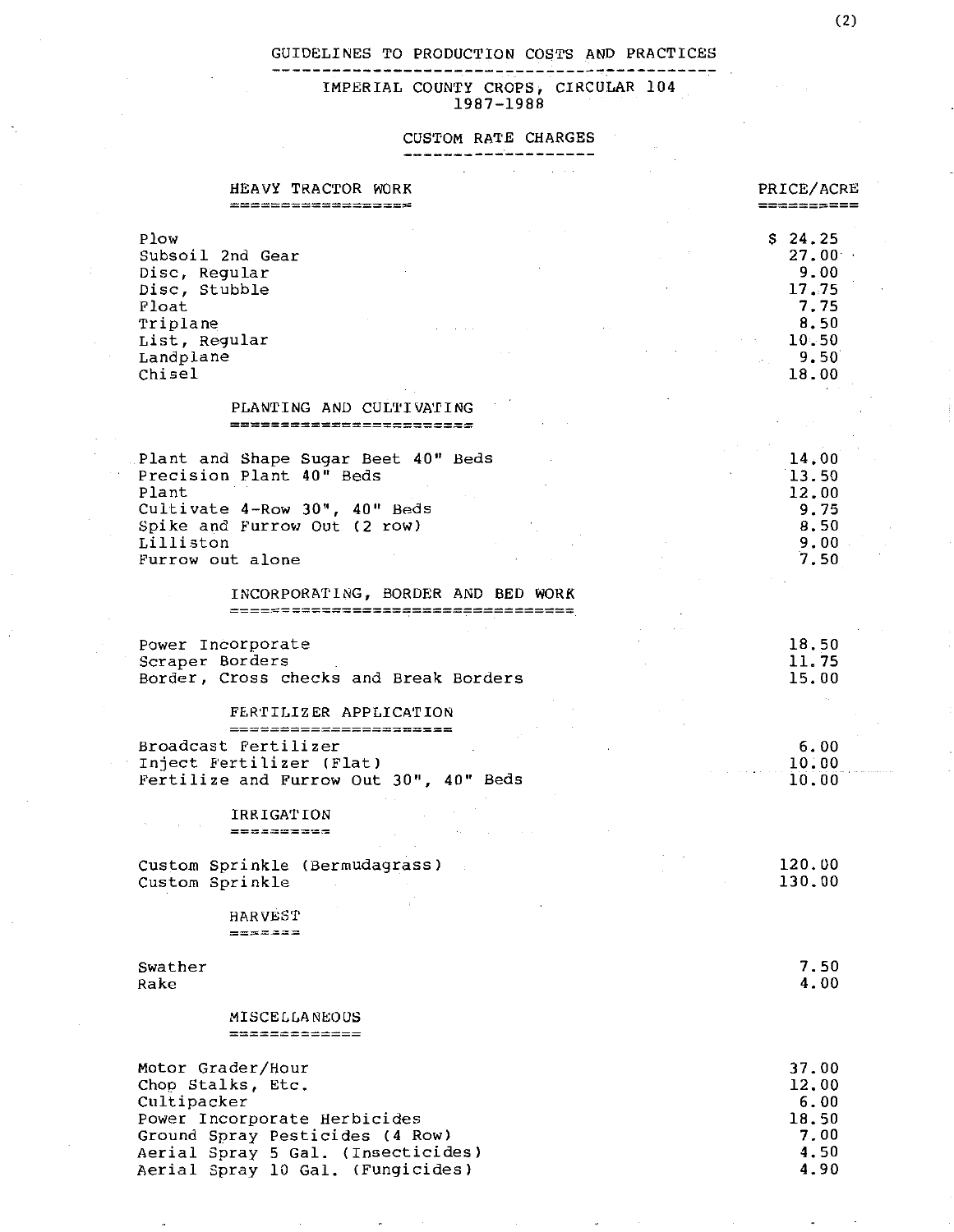IMPERIAL COUNTY CROPS, CIRCULAR 104

\_\_\_\_\_\_\_\_\_\_\_\_\_\_\_\_

#### CUSTOM RATE CHARGES ---------------------

| HEAVY TRACTOR WORK<br><b>-----------------------</b>                                                                                                                                                | PRICE/ACRE<br>==========                                                              |
|-----------------------------------------------------------------------------------------------------------------------------------------------------------------------------------------------------|---------------------------------------------------------------------------------------|
| Plow<br>Subsoil 2nd Gear<br>Disc, Regular<br>Disc, Stubble<br>Float<br>Triplane<br>List, Regular<br>Landplane<br>Chisel                                                                             | \$24.25<br>$27.00^{\circ}$<br>9.00<br>17.75<br>7.75<br>8,50<br>10.50<br>9.50<br>18.00 |
| PLANTING AND CULTIVATING<br>=========================                                                                                                                                               |                                                                                       |
| Plant and Shape Sugar Beet 40" Beds<br>Precision Plant 40" Beds<br>Plant<br>Cultivate 4-Row 30", 40" Beds<br>Spike and Furrow Out (2 row)<br>Lilliston<br>Furrow out alone                          | 14.00<br>13.50<br>12.00<br>9.75<br>8.50<br>9.00<br>7.50                               |
| INCORPORATING, BORDER AND BED WORK<br>====================================                                                                                                                          |                                                                                       |
| Power Incorporate<br>Scraper Borders<br>Border, Cross checks and Break Borders<br>FERTILIZER APPLICATION                                                                                            | 18.50<br>11.75<br>15.00                                                               |
| =======================<br>Broadcast Fertilizer<br>Inject Fertilizer (Flat)<br>Fertilize and Furrow Out 30", 40" Beds                                                                               | 6.00<br>10.00<br>10.00                                                                |
| <b>IRRIGATION</b><br>==========                                                                                                                                                                     |                                                                                       |
| Custom Sprinkle (Bermudagrass)<br>Custom Sprinkle<br>$\sim$<br><b>HARVEST</b>                                                                                                                       | 120.00<br>130.00                                                                      |
| =======<br>Swather<br>Rake                                                                                                                                                                          | 7.50<br>4.00                                                                          |
| MISCELLANEOUS<br>=============                                                                                                                                                                      |                                                                                       |
| Motor Grader/Hour<br>Chop Stalks, Etc.<br>Cultipacker<br>Power Incorporate Herbicides<br>Ground Spray Pesticides (4 Row)<br>Aerial Spray 5 Gal. (Insecticides)<br>Aerial Spray 10 Gal. (Fungicides) | 37.00<br>12.00<br>6.00<br>18.50<br>7,00<br>4.50<br>4.90                               |

 $\ddot{\phantom{0}}$ 

k

 $\ddot{\phantom{0}}$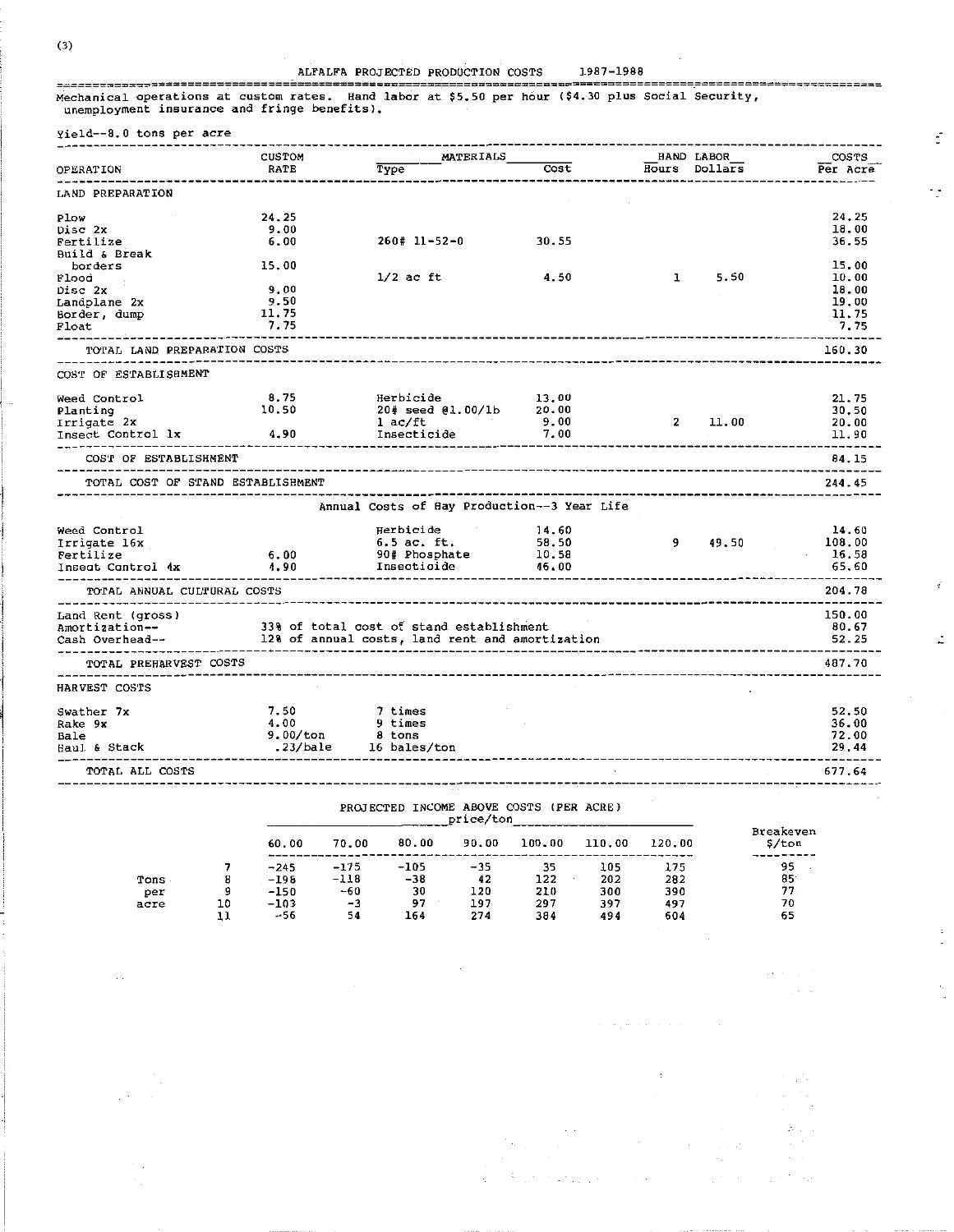$\mathcal{L}_\mathrm{c}$ 

ALFALFA PROJECTED PRODUCTION COSTS 1987-1988 ================================================================================================================== Mechanical operations at custom rates. Hand labor at \$5.50 per hour (\$4.30 plus Social Security, unemployment insurance and fringe benefits).

|                                                                                                        | <b>CUSTOM</b> | MATERIALS                                                |                                | <b>HAND LABOR</b>       | COSTS         |                   |
|--------------------------------------------------------------------------------------------------------|---------------|----------------------------------------------------------|--------------------------------|-------------------------|---------------|-------------------|
| <b>OPERATION</b>                                                                                       | <b>RATE</b>   | Type                                                     | Cost                           |                         | Hours Dollars | Per Acre          |
| LAND PREPARATION                                                                                       |               |                                                          |                                |                         |               |                   |
| Plow                                                                                                   | 24.25         |                                                          |                                |                         |               | 24.25             |
| Disc 2x                                                                                                | 9.00          |                                                          |                                |                         |               | 18.00             |
| Fertilize                                                                                              | 6.00          | $260# 11 - 52 - 0$ 30.55                                 |                                |                         |               | 36.55             |
| Build & Break                                                                                          |               |                                                          |                                |                         |               |                   |
| borders                                                                                                | 15.00         |                                                          |                                |                         |               | 15.00             |
|                                                                                                        |               | $1/2$ ac ft                                              | 4.50                           | $\mathbf{1}$            | 5.50          | 10.00             |
| Flood                                                                                                  | 9.00          |                                                          |                                |                         |               | 18.00             |
| Disc 2x                                                                                                |               |                                                          |                                |                         |               | 19.00             |
| Landplane 2x                                                                                           | 9.50          |                                                          |                                |                         |               |                   |
| Border, dump                                                                                           | 11.75         |                                                          |                                |                         |               | 11.75             |
| Float                                                                                                  | 7.75          |                                                          | ------------------------------ |                         |               | 7.75              |
| TOTAL LAND PREPARATION COSTS<br>____________                                                           |               |                                                          |                                |                         |               | 160.30            |
| COST OF ESTABLISHMENT                                                                                  |               |                                                          |                                |                         |               |                   |
| Weed Control                                                                                           | 8.75          | Herbicide<br>Herbicide 13.00<br>20# seed @1.00/1b 20.00  |                                |                         |               | 21.75             |
| Planting                                                                                               | 10.50         |                                                          |                                |                         |               | 30.50             |
| Irrigate 2x                                                                                            |               | $1$ ac/ft                                                | 9.00                           |                         | 2 11.00       | 20.00             |
| Insect Control 1x                                                                                      | 4.90          | Insecticide                                              | 7.00                           |                         |               | 11.90             |
| COST OF ESTABLISHMENT                                                                                  |               |                                                          |                                |                         |               | 84.15             |
| TOTAL COST OF STAND ESTABLISHMENT                                                                      |               |                                                          |                                |                         |               | 244.45            |
|                                                                                                        |               | Annual Costs of Hay Production--3 Year Life              |                                |                         |               |                   |
|                                                                                                        |               |                                                          |                                |                         |               |                   |
| Weed Control                                                                                           |               | Herbicide                                                | 14.60                          |                         |               | 14.60             |
| Irrigate 16x                                                                                           |               | 6.5 ac. ft.                                              | 58.50                          |                         | 9 49.50       | 108.00            |
| Fertilize                                                                                              | 6.00          |                                                          |                                |                         |               | 16.58             |
| Inseat Cantrol 4x                                                                                      | 4.90          | Insecticide                                              | 46.00                          |                         |               | 65.60<br>-------- |
| TOTAL ANNUAL CULTURAL COSTS                                                                            |               |                                                          |                                |                         |               | 204.78            |
| Land Rent (gross)                                                                                      |               |                                                          |                                |                         |               | 150.00            |
|                                                                                                        |               |                                                          |                                |                         |               | 80.67             |
| Amortization-<br>Cash Overhead--<br>Cash Overhead--<br>12% of annual costs, land rent and amortization |               |                                                          |                                |                         |               | 52.25             |
|                                                                                                        |               |                                                          |                                |                         |               |                   |
| TOTAL PREHARVEST COSTS                                                                                 |               |                                                          |                                | --------------------    |               | 487.70            |
| HARVEST COSTS                                                                                          |               |                                                          |                                |                         |               |                   |
| Swather 7x                                                                                             | 7.50          | 7 times                                                  |                                |                         |               | 52.50             |
| Rake 9x                                                                                                | 4.00          | 9 times                                                  |                                |                         |               | 36.00             |
| Bale                                                                                                   |               |                                                          |                                |                         |               | 72.00             |
| Haul & Stack                                                                                           |               | 4.00 9 crmes<br>9.00/ton 8 tons<br>23/bale 16 bales/ton. |                                | _______________________ |               | 29.44             |
| TOTAL ALL COSTS                                                                                        |               |                                                          |                                | ---------------------   |               | 677.64            |

## PROJECTED INCOME ABOVE COSTS (PER price/ton

|             |    | 60.00            | 70.00            | 80.00           | -----<br>90.00 | 100.00     | 110.00     | 120.00     | Breakeven<br>S/ton |
|-------------|----|------------------|------------------|-----------------|----------------|------------|------------|------------|--------------------|
| Tons        | 8  | $-245$<br>$-198$ | $-175$<br>$-118$ | $-105$<br>$-38$ | $-35$<br>42    | 35<br>122  | 105<br>202 | 175<br>282 | 95<br>85           |
| per<br>acre | 10 | $-150$<br>$-103$ | $-60$<br>$-3$    | 30<br>97        | 120<br>197     | 210<br>297 | 300<br>397 | 390<br>497 | 77.<br>70          |
|             |    | $-56$            | 54               | 164             | 274            | 384        | 494        | 604        | 65                 |

 $\vec{z}$ 

 $\gamma$ 

 $\vec{z}$ 

 $\mathbb L$ 

 $\epsilon$ 

 $\Delta\sigma$  , the  $\Delta\sigma$ 

العادات المتعاطية سوحات

 $\begin{aligned} \mathcal{A}^{\text{max}}_{\text{max}} & = \mathcal{A}^{\text{max}}_{\text{max}} \\ \mathcal{A}^{\text{max}}_{\text{max}} & = \mathcal{A}^{\text{max}}_{\text{max}} \\ \mathcal{A}^{\text{max}}_{\text{max}} & = \mathcal{A}^{\text{max}}_{\text{max}} \\ \mathcal{A}^{\text{max}}_{\text{max}} & = \mathcal{A}^{\text{max}}_{\text{max}} \\ \mathcal{A}^{\text{max}}_{\text{max}} & = \mathcal{A}^{\text{max}}_{\text{max}} \\ \mathcal{A}^{\text{max}}_{\text{max}} & =$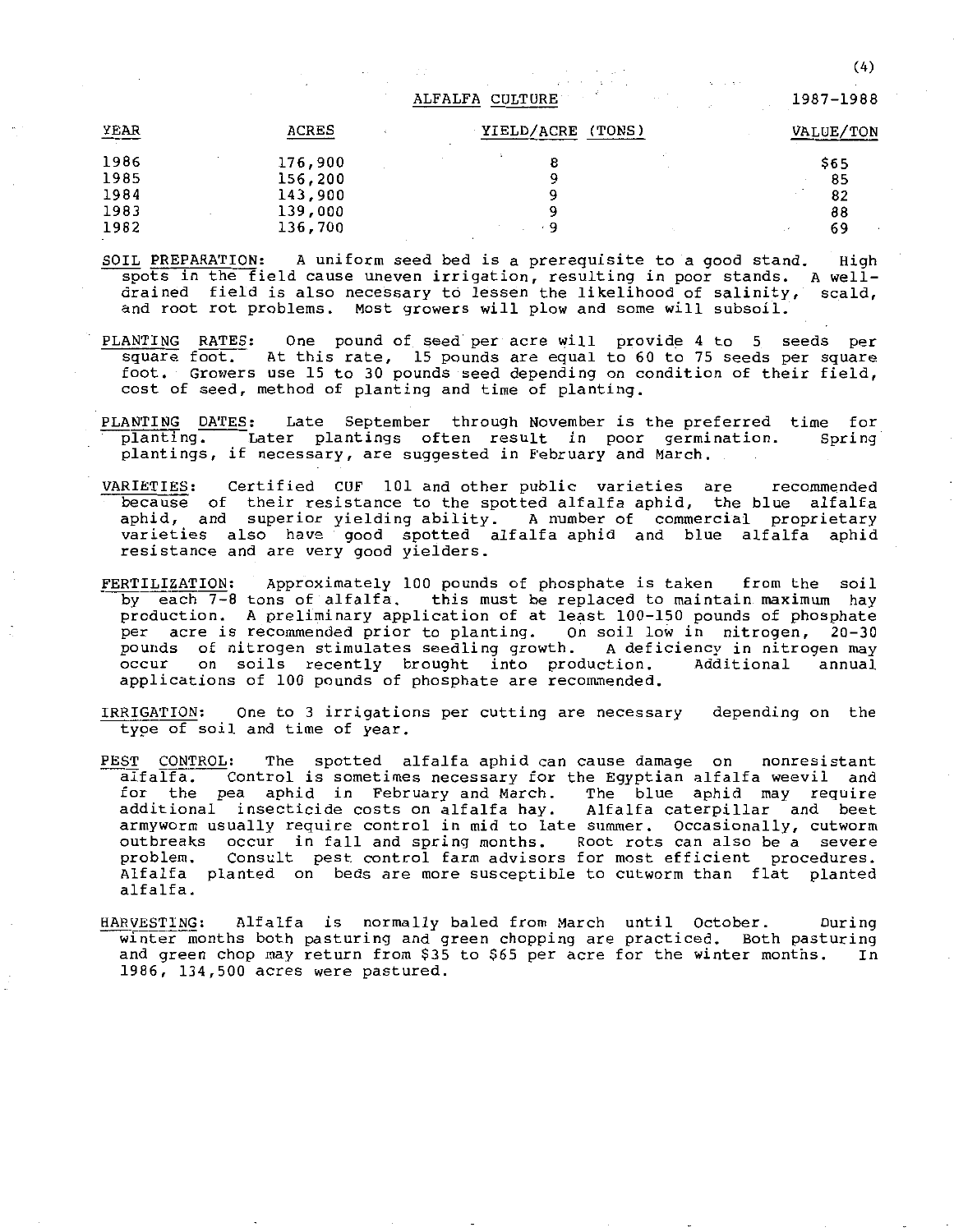#### ALFALFA CULTURE

| YEAR                         | ACRES                                    | YIELD/ACRE<br>(TONS) | VALUE/TON              |
|------------------------------|------------------------------------------|----------------------|------------------------|
| 1986<br>1985<br>1984<br>1983 | 176,900<br>156,200<br>143,900<br>139,000 |                      | \$65<br>85<br>82<br>88 |
| 1982                         | 136,700                                  | 9                    | 69<br>$\sim$ $\sim$    |

SOIL PREPARATION: A uniform seed bed is a prerequisite to a good stand. High spots in the field cause uneven irrigation, resulting in poor stands. A welldrained field is also necessary to lessen the likelihood of salinity, scald, and root rot problems. Most growers **will** plow and some will subsoil.

- PLANTING RATES: One pound of seed per acre will provide 4 to 5 seeds per square foot. At this rate, 15 pounds are equal to 60 to 75 seeds per square foot. Growers use 15 to 30 pounds seed depending on condition of their field, cost of seed, method of planting and time of planting.
- PLANTING DATES: Late September through November is the preferred time for planting. Later plantings often result in poor germination. Spring **plantings, if necessary, are suggested in February and March.**
- VARIETIES: Certified CUF 101 and other public varieties are recommended because of their resistance to the spotted alfalfa aphid, the blue alfalfa aphid, and superior yielding ability. A number of commercial proprietary varieties also have good spotted alfalfa aphid and blue alfalfa aphid **resistance and are very good yielders.**
- FERTILIZATION: Approximately 100 pounds of phosphate is taken from the soil by each 7-8 tons of alfalfa. this must be replaced to maintain maximum hay production. A preliminary application of at least 100-150 pounds of phosphate per acre is recommended prior to planting. On soil low in nitrogen, 20-30 pounds of nitrogen stimulates seedling growth. A deficiency in nitrogen may<br>occur on soils recently brought into production. Additional annual occur on soils recently brought into production. applications of 100 pounds of phosphate are recommended.
- IRRIGATION: One to 3 irrigations per cutting are necessary type of soil and time of year. depending on the
- PEST CONTROL: The spotted alfalfa aphid can cause damage on nonresistant<br>alfalfa. Control is sometimes necessary for the Egyptian alfalfa weevil and  $\overline{\phantom{a}}$  Control is sometimes necessary for the Egyptian alfalfa weevil and for the pea aphid in February and March. The blue aphid may require<br>additional insecticide costs on alfalfa hay. Alfalfa caterpillar and beet additional insecticide costs on alfalfa hay. **arrnyworm usually require control in mid to late summer. Occasionally, cutworm outbreaks occur in fall and spring months. Root rots can also be a severe**  Consult pest control farm advisors for most efficient procedures. Alfalfa planted on beds are more susceptible to cutworm than flat planted alfalfa.
- HARVESTING: Alfalfa is normally baled from March until October. During winter months both pasturing and green chopping are practiced. Both pasturing and green chop may return from \$35 to \$65 per acre for the winter months. In **1986, 134,500 acres were pastured.**

1987-1988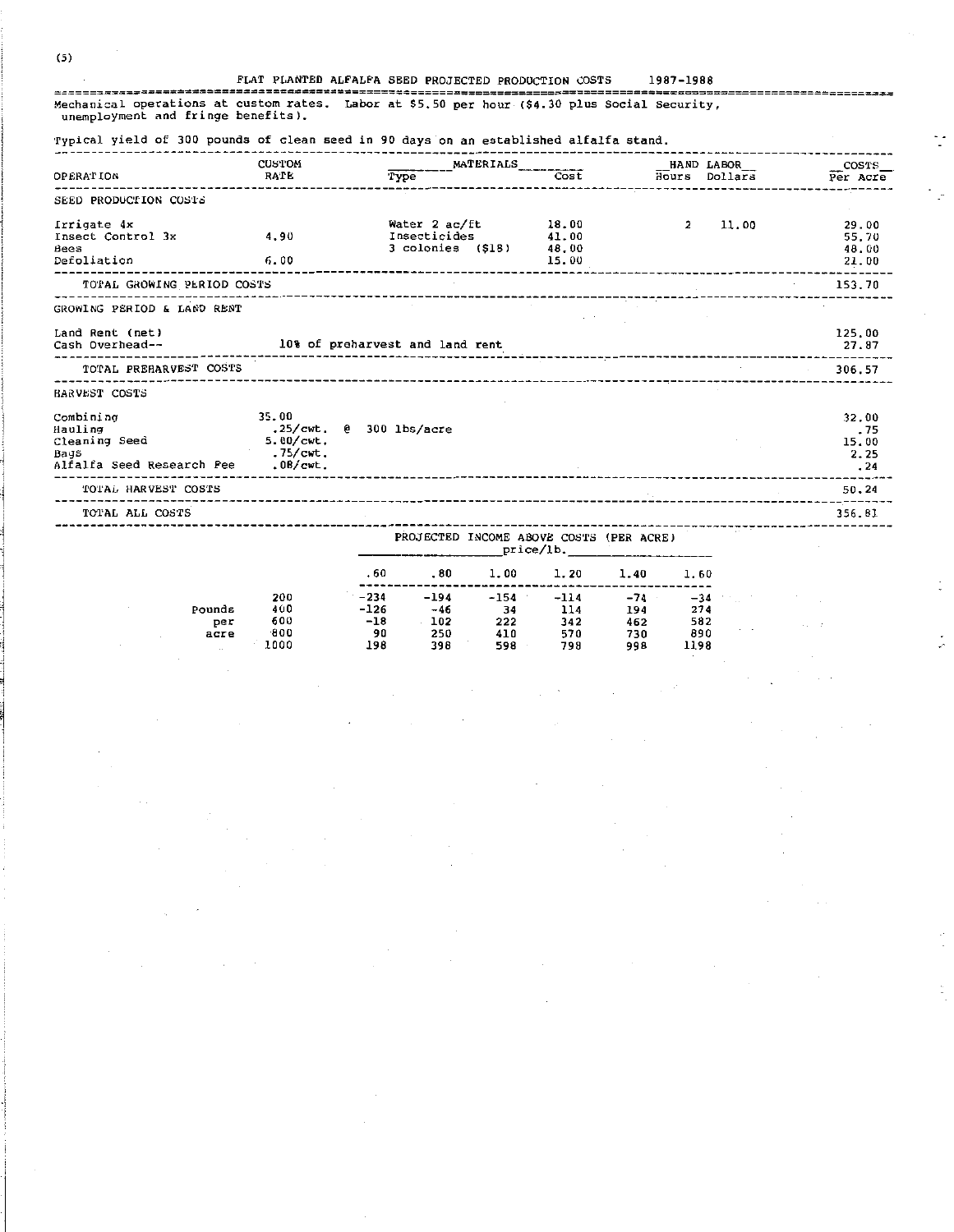$\sim$   $\sim$ 

#### FLAT PLANTED ALFALFA SEED PROJECTED PRODUCTION COSTS 1987-1988

............ Mechanical operations at custom rates. Labor at \$5.50 per hour (\$4.30 plus Social Security, unemployment and fringe benefits).

#### Typical yield of 300 pounds of clean seed in 90 days on an established alfalfa stand.

|                                                                                      | <b>CUSTOM</b>                                                                         | MATERIALS                                          |                                  |                |               | $\overline{\phantom{0}}$ $\overline{\phantom{0}}$ $\overline{\phantom{0}}$ $\overline{\phantom{0}}$ $\overline{\phantom{0}}$ $\overline{\phantom{0}}$ $\overline{\phantom{0}}$ $\overline{\phantom{0}}$ $\overline{\phantom{0}}$ $\overline{\phantom{0}}$ $\overline{\phantom{0}}$ $\overline{\phantom{0}}$ $\overline{\phantom{0}}$ $\overline{\phantom{0}}$ $\overline{\phantom{0}}$ $\overline{\phantom{0}}$ $\overline{\phantom{0}}$ $\overline{\phantom{0}}$ $\overline{\$ |
|--------------------------------------------------------------------------------------|---------------------------------------------------------------------------------------|----------------------------------------------------|----------------------------------|----------------|---------------|---------------------------------------------------------------------------------------------------------------------------------------------------------------------------------------------------------------------------------------------------------------------------------------------------------------------------------------------------------------------------------------------------------------------------------------------------------------------------------|
| <b>OPERATION</b>                                                                     | RATE                                                                                  | Type                                               | $\overline{\text{Cost}}$         |                | Hours Dollars | Per Acre                                                                                                                                                                                                                                                                                                                                                                                                                                                                        |
| SEED PRODUCTION COSTS                                                                |                                                                                       |                                                    |                                  |                |               |                                                                                                                                                                                                                                                                                                                                                                                                                                                                                 |
| Irrigate 4x<br>Insect Control 3x<br>Bees<br>Defoliation                              | 4.90<br>6.00                                                                          | Water 2 ac/ft<br>Insecticides<br>3 colonies (\$18) | 18.00<br>41.00<br>48.00<br>15.00 | $\overline{2}$ | 11.00         | 29.00<br>55.70<br>48.00<br>21.00                                                                                                                                                                                                                                                                                                                                                                                                                                                |
| TOTAL GROWING PERIOD COSTS                                                           |                                                                                       |                                                    |                                  |                |               | 153.70                                                                                                                                                                                                                                                                                                                                                                                                                                                                          |
| GROWING PERIOD & LAND RENT                                                           |                                                                                       |                                                    |                                  |                |               |                                                                                                                                                                                                                                                                                                                                                                                                                                                                                 |
| Land Rent (net)<br>Cash Overhead--                                                   |                                                                                       | 10% of preharvest and land rent                    |                                  |                |               | 125.00<br>27.87                                                                                                                                                                                                                                                                                                                                                                                                                                                                 |
| TOTAL PREHARVEST COSTS                                                               |                                                                                       |                                                    |                                  |                |               | 306.57                                                                                                                                                                                                                                                                                                                                                                                                                                                                          |
| BARVEST COSTS                                                                        |                                                                                       |                                                    |                                  |                |               |                                                                                                                                                                                                                                                                                                                                                                                                                                                                                 |
| Combining<br>Hauling<br>Cleaning Seed<br>Bags<br>Alfalfa Seed Research Pee . 08/cwt. | 35.00<br>.25/cwt. $0$ 300 lbs/acre<br>$5.00$ / $\text{cut}$ .<br>$.75$ / $\text{cut}$ |                                                    |                                  |                |               | 32.00<br>. 75<br>15.00<br>2.25<br>.24                                                                                                                                                                                                                                                                                                                                                                                                                                           |
| TOTAL HARVEST COSTS                                                                  |                                                                                       |                                                    |                                  |                |               | 50.24                                                                                                                                                                                                                                                                                                                                                                                                                                                                           |
| TOTAL ALL COSTS                                                                      |                                                                                       |                                                    |                                  |                |               | 356.81                                                                                                                                                                                                                                                                                                                                                                                                                                                                          |
|                                                                                      |                                                                                       | DROJECER INCOME ABOUR CORRY (DED ACRE)             |                                  |                | ----          |                                                                                                                                                                                                                                                                                                                                                                                                                                                                                 |

CTED INCOME ABOVE COSTS (PER ACRE) \_price/lb.\_

 $\ddot{\cdot}$ 

 $\ddot{\phantom{0}}$ 

ţ.

|            |      | .60    | .80    | 1.00   | 1.20   | 1.40  | 1.60  |  |
|------------|------|--------|--------|--------|--------|-------|-------|--|
|            | 200  | $-234$ | $-194$ | $-154$ | $-114$ | $-74$ | $-34$ |  |
| Pounds     | 400  | $-126$ | -46    | 34     | 114    | 194   | 274   |  |
| per        | 600  | $-18$  | 102    | 222    | 342    | 462   | 582   |  |
| acre       | -800 | 90     | 250    | 410    | 570    | 730   | 890   |  |
| <b>11.</b> | 1000 | 198    | 398    | 598    | 798    | 998   | 1198  |  |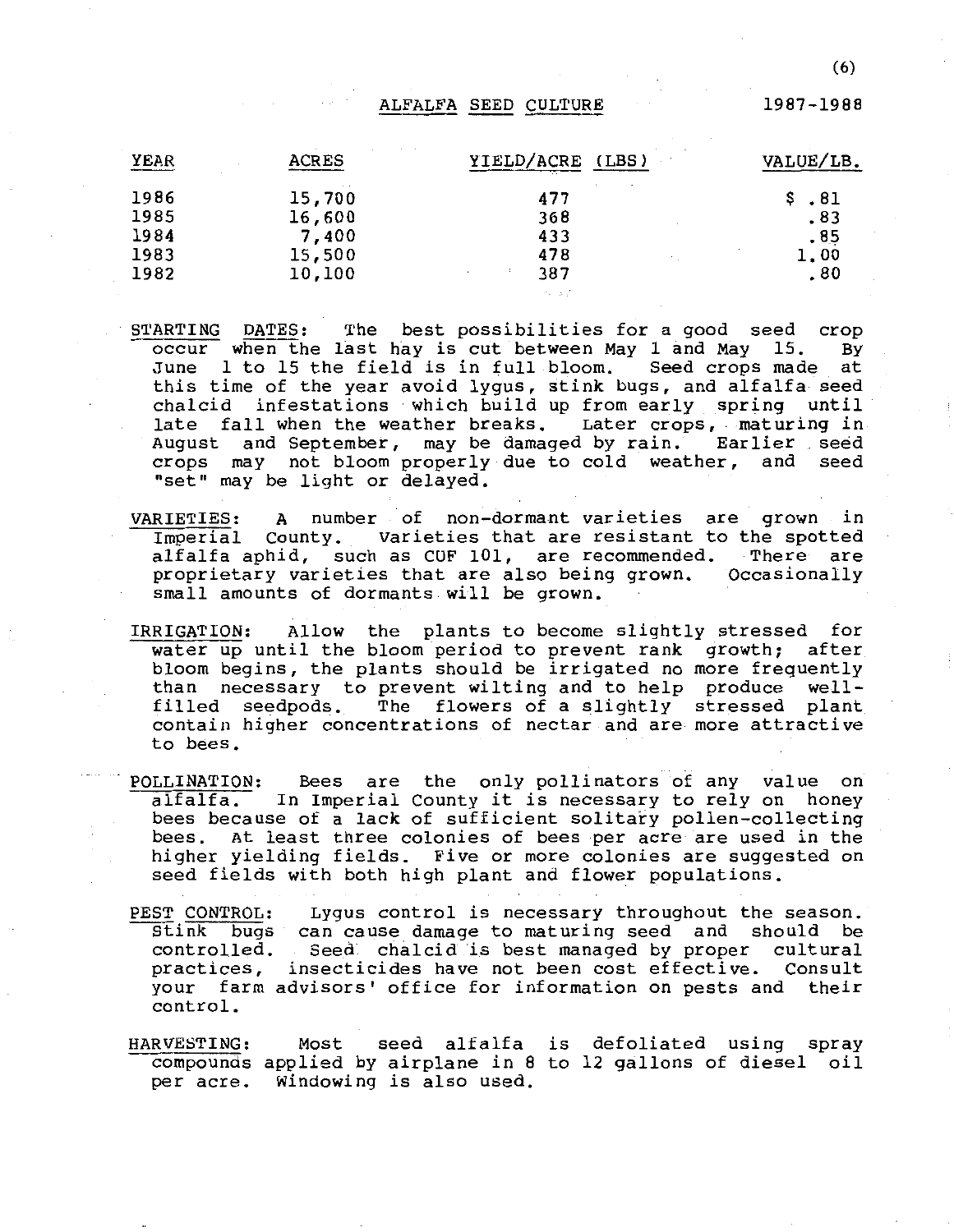#### ALFALFA SEED CULTURE

1987-1988

| YEAR | <b>ACRES</b> | YIELD/ACRE (LBS) | VALUE/LB. |
|------|--------------|------------------|-----------|
| 1986 | 15,700       | 477              | .81       |
| 1985 | 16,600       | 368              | .83       |
| 1984 | 7,400        | 433              | .85       |
| 1983 | 15,500       | 478              | 1.00      |
| 1982 | 10,100       | 387              | .80       |

- STARTING DATES: The best possibilities for a good seed crop<br>occur when the last hay is cut between May 1 and May 15. By occur when the last hay is cut between May 1 and May 15. June 1 to 15 the field is in full bloom. Seed crops made at this time of the year avoid lygus, stink bugs, and alfalfa seed chalcid infestations which build up from early spring until late fall when the weather breaks. Later crops, maturing in August and September, may be damaged by rain. Earlier seed crops may not bloom properly due to cold weather, and seed "set" may be light or delayed.
- VARIETIES: A number of non-dormant varieties are grown in Imperial County. Varieties that are resistant to the spotted<br>alfalfa aphid, such as CUF 101, are recommended. There are alfalfa aphid, such as CUF 101, are recommended. proprietary varieties that are also being grown. Occasionally small amounts of dormants will be grown.
- IRRIGATION: Allow the plants to become slightly stressed for water up until the bloom period to prevent rank growth; after bloom begins, the plants should be irrigated no more frequently than necessary to prevent wilting and to help produce wellfilled seedpods. The flowers of a slightly stressed plant contain higher concentrations of nectar and are more attractive to bees.
- POLLINATION: Bees are the only pollinators of any value on alfalfa. In Imperial county it is necessary to rely on honey bees because of a lack of sufficient solitary pollen-collecting bees. At least three colonies of bees per acre are used in the higher yielding fields. Five or more colonies are suggested on seed fields with both high plant and flower populations.
- PEST CONTROL: PEST CONTRUL: Lygus control is necessary throughout the season.<br>Stink bugs can cause damage to maturing seed and should be controlled. Seed chalcid 'i.s best managed by proper cultural practices, insecticides have not been cost effective. Consult your farm advisors' office for information on pests and their control. Lygus control is necessary throughout the season.
- HARVESTING: compounds applied by airplane in 8 to 12 gallons of diesel oil per acre. Windowing is also used. Most seed alfalfa is defoliated using spray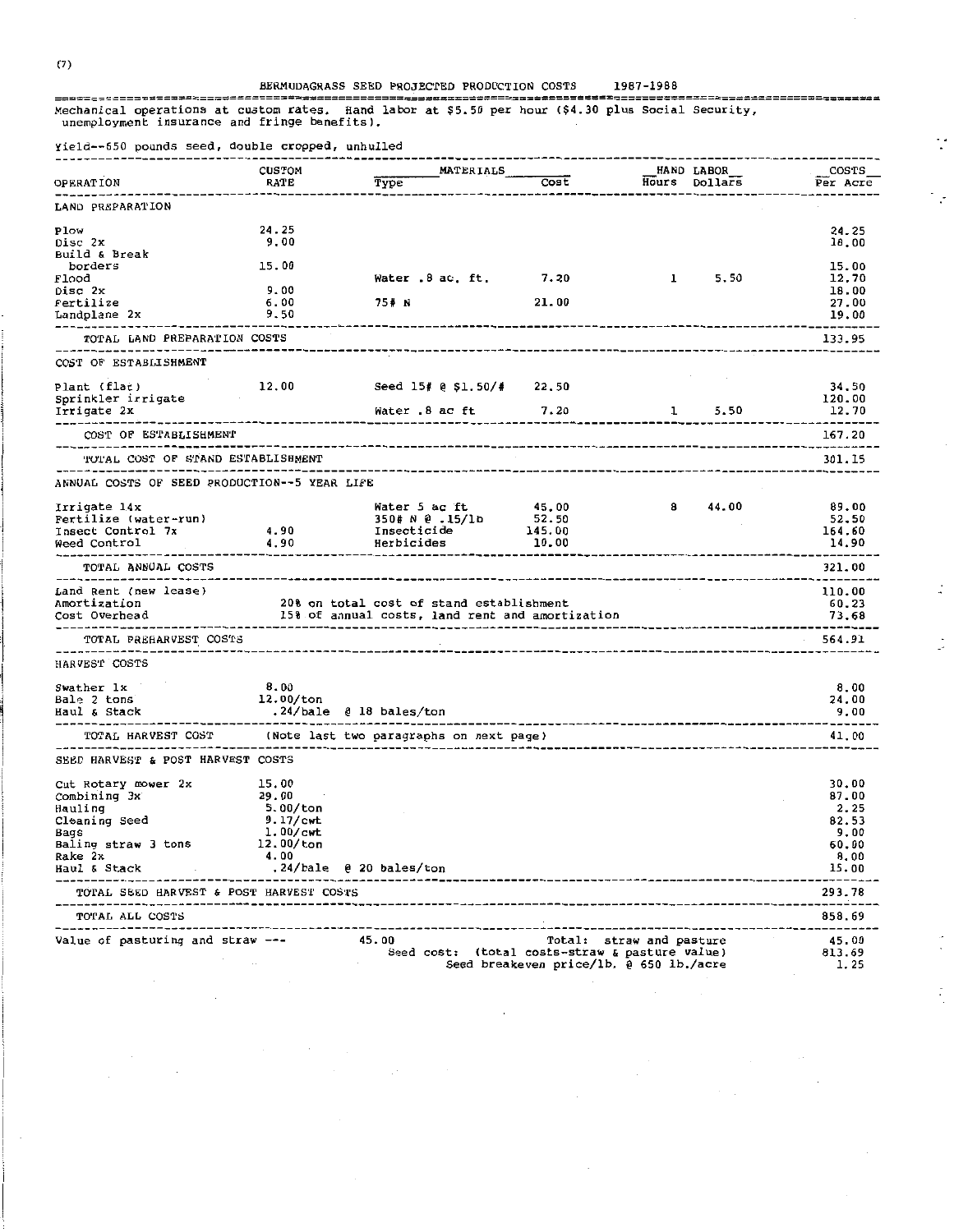$\ddot{\cdot}$ 

tij.

 $\ddot{\cdot}$ 

 $\ddot{\cdot}$ 

 $\frac{1}{\sqrt{2}}$ 

 $\frac{1}{\sqrt{2}}$ 

Mechanical operations at custom rates. Hand labor at \$5.50 per hour (\$4.30 plus Social Security, unemployment insurance and fringe benefits).

|                                                                                                                                                                                                                                | <b>CUSTOM</b>            | MATERIALS                                                  |                                         |                          | HAND LABOR | COSTS                                     |
|--------------------------------------------------------------------------------------------------------------------------------------------------------------------------------------------------------------------------------|--------------------------|------------------------------------------------------------|-----------------------------------------|--------------------------|------------|-------------------------------------------|
| <b>OPERATION</b>                                                                                                                                                                                                               | RATE                     | Type                                                       |                                         | -----------------------  |            | Cost <b>Hours</b> Dollars <b>Per Acre</b> |
| ------------<br>LAND PREPARATION                                                                                                                                                                                               |                          |                                                            |                                         |                          |            |                                           |
| Plow                                                                                                                                                                                                                           | 24.25                    |                                                            |                                         |                          |            | 24.25                                     |
| Disc 2x                                                                                                                                                                                                                        | 9.00                     |                                                            |                                         |                          |            | 18.00                                     |
| Build & Break                                                                                                                                                                                                                  |                          |                                                            |                                         |                          |            |                                           |
| borders                                                                                                                                                                                                                        | 15.00                    |                                                            |                                         |                          |            | 15.00                                     |
| Flood                                                                                                                                                                                                                          |                          | Water 8 ac. ft. 7.20                                       |                                         | $1 \quad 5.50$           |            | 12.70                                     |
| Disc 2x                                                                                                                                                                                                                        | 9.00                     |                                                            |                                         |                          |            | 18.00                                     |
| Fertilize                                                                                                                                                                                                                      | 6.00                     | 75# N                                                      | 21.00                                   |                          |            | 27.00                                     |
| Landplane 2x 9.50<br>______________                                                                                                                                                                                            | ------------------       |                                                            |                                         |                          |            | 19.00<br>------------                     |
| TOTAL LAND PREPARATION COSTS                                                                                                                                                                                                   |                          |                                                            |                                         |                          |            | 133.95                                    |
| COST OF ESTABLISHMENT                                                                                                                                                                                                          |                          |                                                            |                                         |                          |            |                                           |
| Plant (flat)                                                                                                                                                                                                                   |                          | 12.00 Seed 15# @ \$1.50/# 22.50                            |                                         |                          |            | 34.50                                     |
| Sprinkler irrigate                                                                                                                                                                                                             |                          |                                                            |                                         |                          |            | 120.00                                    |
| Irrigate 2x Mater .8 ac ft 7.20                                                                                                                                                                                                |                          |                                                            |                                         |                          |            | 12.70                                     |
| COST OF ESTABLISHMENT                                                                                                                                                                                                          |                          |                                                            |                                         |                          |            | 167.20                                    |
| TOTAL COST OF STAND ESTABLISHMENT                                                                                                                                                                                              |                          |                                                            |                                         |                          |            | 301.15                                    |
| ANNUAL COSTS OF SEED PRODUCTION--5 YEAR LIFE                                                                                                                                                                                   |                          |                                                            |                                         |                          |            |                                           |
|                                                                                                                                                                                                                                |                          |                                                            |                                         |                          | 8 44.00    | 89.00                                     |
|                                                                                                                                                                                                                                |                          |                                                            |                                         |                          |            | 52.50                                     |
|                                                                                                                                                                                                                                |                          |                                                            |                                         |                          |            | 164.60                                    |
|                                                                                                                                                                                                                                |                          |                                                            |                                         |                          |            | 14.90                                     |
| TOTAL ANNUAL COSTS                                                                                                                                                                                                             | --------------           |                                                            |                                         |                          |            | 321.00                                    |
| -------------------------------                                                                                                                                                                                                |                          |                                                            |                                         |                          |            |                                           |
| Land Rent (new lease)                                                                                                                                                                                                          |                          |                                                            |                                         |                          |            | 110.00                                    |
| Amortization 20% on total cost of stand establishment<br>Cost Overhead 25% of annual costs, land rent and amortization                                                                                                         |                          |                                                            |                                         |                          |            | 60.23                                     |
|                                                                                                                                                                                                                                |                          |                                                            |                                         |                          |            | 73.68                                     |
| TOTAL PREHARVEST COSTS                                                                                                                                                                                                         | ------------------------ |                                                            |                                         |                          |            | 564.91                                    |
| HARVEST COSTS                                                                                                                                                                                                                  |                          |                                                            |                                         |                          |            |                                           |
| Swather 1x                                                                                                                                                                                                                     | 8.00                     |                                                            |                                         |                          |            | 8,00                                      |
| Bale 2 tons                                                                                                                                                                                                                    | 12.00/ton                |                                                            |                                         |                          |            | 24.00                                     |
| Haul & Stack<br>--------------------------------------                                                                                                                                                                         |                          | .24/bale @ 18 bales/ton                                    |                                         |                          |            | 9.00                                      |
| -----------------------                                                                                                                                                                                                        |                          | TOTAL HARVEST COST (Note last two paragraphs on next page) |                                         |                          |            | 41.00                                     |
| SEED HARVEST & POST HARVEST COSTS                                                                                                                                                                                              |                          |                                                            |                                         |                          |            |                                           |
| Cut Rotary mower 2x 15.00                                                                                                                                                                                                      |                          |                                                            |                                         |                          |            | 30.00                                     |
|                                                                                                                                                                                                                                | 29.00                    |                                                            |                                         |                          |            | 87.00                                     |
| Combining 3x<br>Hauling                                                                                                                                                                                                        | 5.00/ton                 |                                                            |                                         |                          |            | 2.25                                      |
| Cleaning Seed                                                                                                                                                                                                                  | 9.17/cwt                 |                                                            |                                         |                          |            | 82.53                                     |
| Bags and the second second second second second second second second second second second second second second second second second second second second second second second second second second second second second second | $1.00$ /cwt              |                                                            |                                         |                          |            | 9.00                                      |
| Baling straw 3 tons                                                                                                                                                                                                            | 12.00/ton                |                                                            |                                         |                          |            | 60.00                                     |
| Rake 2x                                                                                                                                                                                                                        | 4.00                     |                                                            |                                         |                          |            | 8.00                                      |
| Haul & Stack                                                                                                                                                                                                                   |                          | .24/bale @ 20 bales/ton                                    |                                         |                          |            | 15.00                                     |
| TOTAL SEED HARVEST & POST HARVEST COSTS                                                                                                                                                                                        |                          |                                                            |                                         |                          |            | 293.78                                    |
| TOTAL ALL COSTS                                                                                                                                                                                                                |                          |                                                            |                                         |                          |            | 858.69                                    |
| Value of pasturing and straw ---                                                                                                                                                                                               |                          | 45.00                                                      |                                         | Total: straw and pasture |            | 45.00                                     |
|                                                                                                                                                                                                                                |                          | Seed cost: (total costs-straw & pasture value)             |                                         |                          |            | 813.69                                    |
|                                                                                                                                                                                                                                |                          |                                                            | Seed breakeven price/lb. 0 650 lb./acre |                          |            | 1.25                                      |

 $\overline{a}$ 

(7)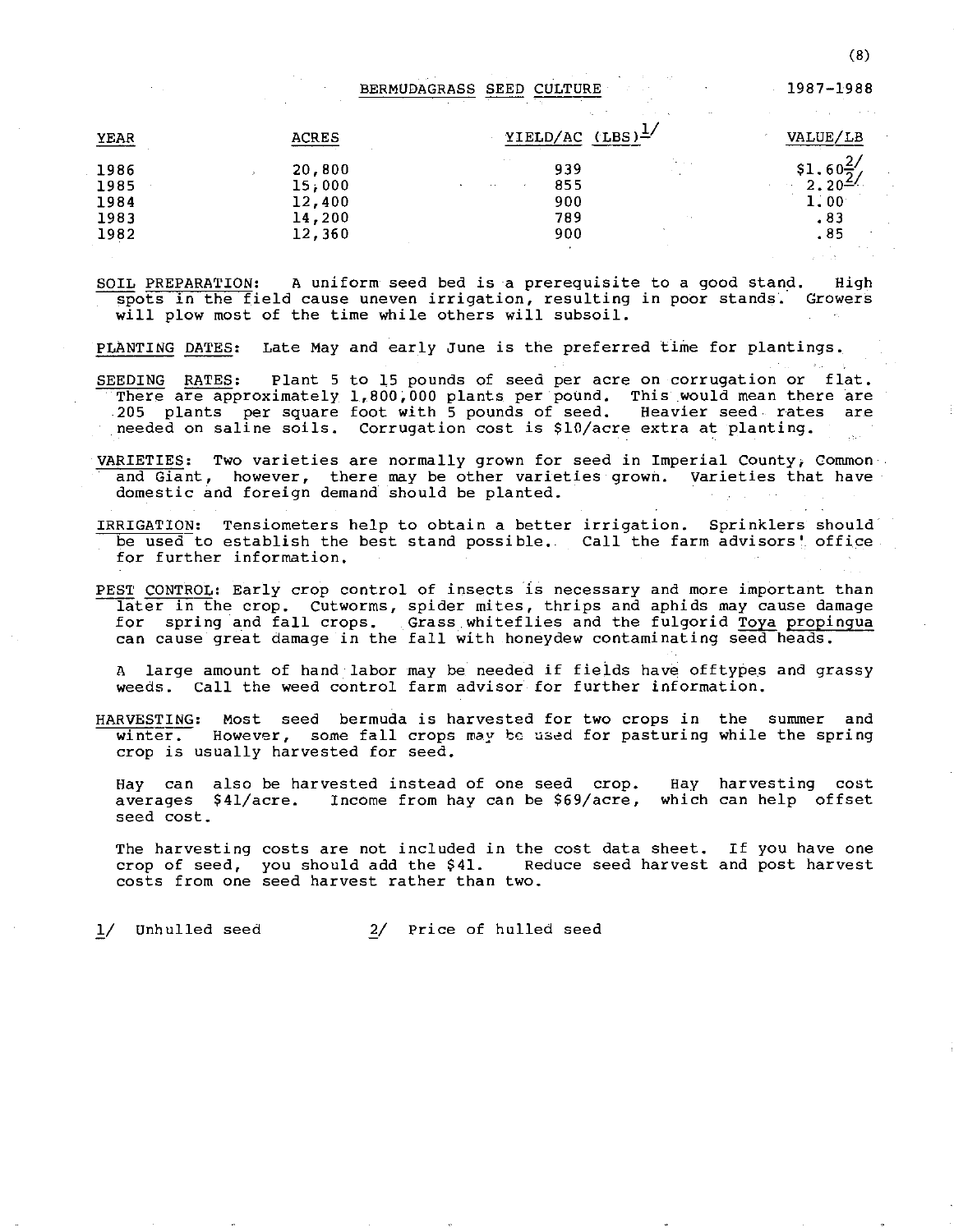BERMUDAGRASS SEED CULTURE

YEAR 1986 1985 1984 1983 1982 ACRES ACRES 20,800 15;000 12,400 14,200 12,360  $YIELD/AC (LBS)^{\frac{1}{2}}$ 939 855 900 789 900 VALUE/LB  $$1.60\frac{2}{2}$ 2.20- 1. 00 .83 .85

SOIL PREPARATION: A uniform seed bed is a prerequisite to a good stand. High spots in the field cause uneven irrigation, resulting in poor stands. Growers will plow most of the time while others will subsoil.

PLANTING DATES: Late May and early June is the preferred time for plantings.

- SEEDING RATES: There are approximately 1,800,000 plants per pound, This would mean there are 205 plants per square foot with 5 pounds of seed. Heavier seed rates are **needed on saline soils.**  Corrugation cost is \$10/acre extra at planting. Plant 5 to 15 pounds of seed per acre on corrugation or flat.
- VARIETIES: Two varieties are normally grown for seed in Imperial County; Common· **and Giant, however, there may be other varieties grown. Varieties that have**  domestic and foreign demand should be planted.
- IRRIGATION: Tensiometers help to obtain a better irrigation. Sprinklers should be used to establish the best stand possible. Call the farm advisors'. office **for further information.**
- PEST CONTROL: Early crop control of insects is necessary and more important than later in the crop. Cutworms, spider mites, thrips and aphids may cause damage for spring and fall crops. Grass whiteflies and the fulgorid Toya propingua can cause great damage in the fall with honeydew contaminating seed heads.

A large amount of hand labor may be needed if fields have offtypes and grassy weeds. Call the weed control farm advisor for further information.

HARVESTING: Most seed bermuda is harvested for two crops in the summer and<br>winter. However, some fall crops may be used for pasturing while the spring However, some fall crops may be used for pasturing while the spring crop is usually harvested for seed.

Hay can also be harvested instead of one seed crop. averages \$41/acre. Income from hay can be \$69/acre, which can help offset seed cost. **Hay harvesting cost** 

The harvesting **costs are not included in the cost data sheet.**  If you have one **crop of seed, costs from one**  you should add the \$41. Reduce seed harvest seed harvest rather than two. and post harvest

1/ Unhulled seed £/ Price of hulled seed 1987-1988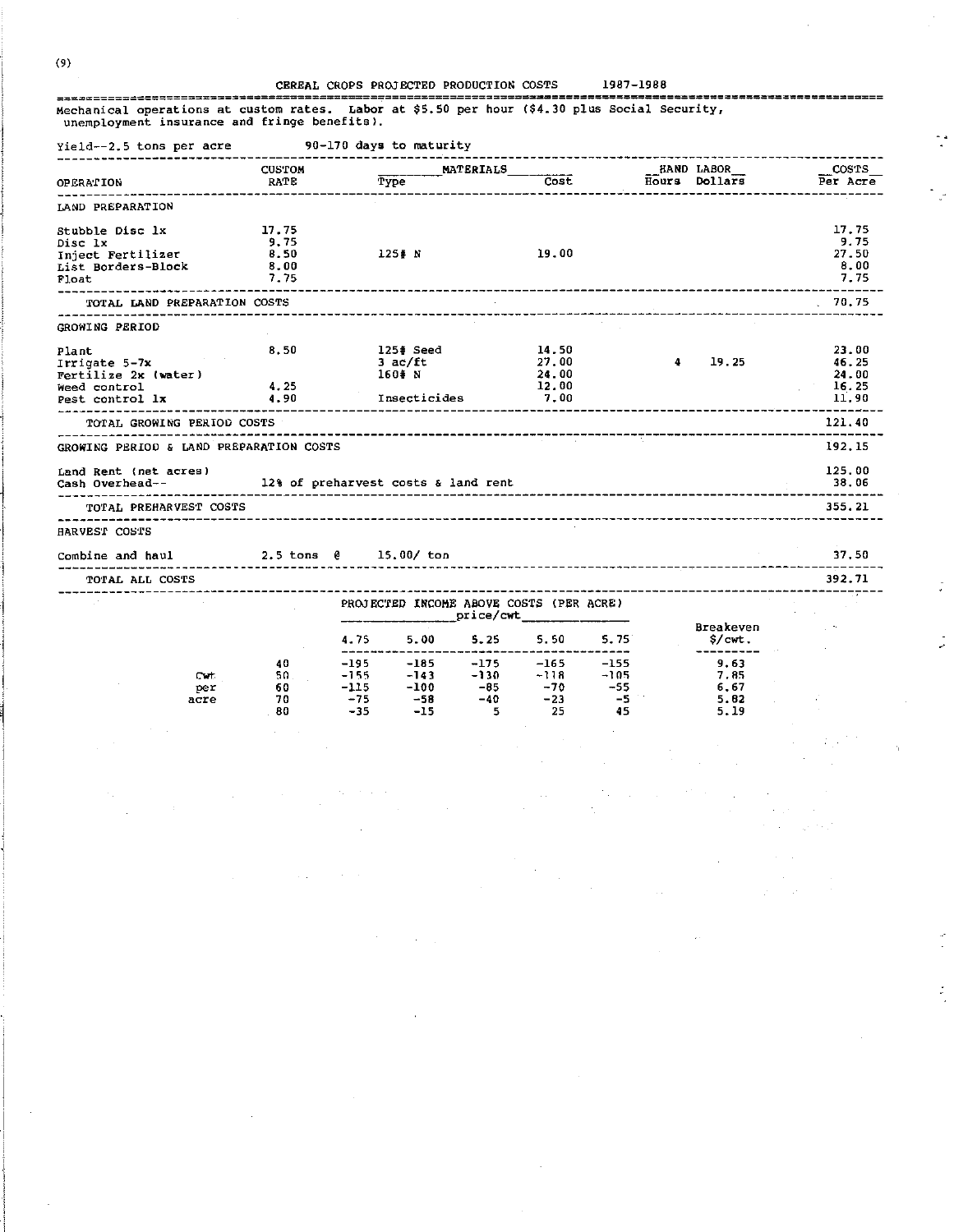#### CEREAL CROPS PROJECTED PRODUCTION COSTS 1987-1988

 $\tilde{L}^*$ 

 $\omega_{\rm c} = 1/2$ 

 $\sim$ 

 $\sim$   $\sim$  $\mathcal{A}_\mathrm{c}$ 

 $\sim 10^4$  $\alpha = 1, \ldots, 1, \ldots, 1, 1$ 

 $\hat{\hat{z}}$ 

Ÿ.

Mechanical operations at custom rates. Labor at \$5.50 per hour (\$4.30 plus Social Security, unemployment insurance and fringe benefits).

 $\sim$ 

 $\sim$ 

 $\Delta\omega_{\rm c}$  , where  $\omega_{\rm c}$ 

 $\Delta\sim 1.5$ 

| Yield--2.5 tons per acre 90-170 days to maturity<br>------------------------ |      |                                     |        |                                                                                                                                                                                                                                              |                  |           |      |                                      |          |
|------------------------------------------------------------------------------|------|-------------------------------------|--------|----------------------------------------------------------------------------------------------------------------------------------------------------------------------------------------------------------------------------------------------|------------------|-----------|------|--------------------------------------|----------|
|                                                                              |      | <b>CUSTOM</b>                       |        |                                                                                                                                                                                                                                              | <b>MATERIALS</b> | Cost      |      | <b>HAND LABOR</b><br>Hours Dollars   | COSTS    |
| <b>OPERATION</b>                                                             |      | <b>RATE</b><br>-------------------  |        | Type                                                                                                                                                                                                                                         |                  |           |      | ----------------------               | Per Acre |
| LAND PREPARATION                                                             |      |                                     |        |                                                                                                                                                                                                                                              |                  |           |      |                                      |          |
| Stubble Disc 1x                                                              |      | 17.75                               |        |                                                                                                                                                                                                                                              |                  |           |      |                                      | 17.75    |
| Disc 1x                                                                      |      | 9.75                                |        |                                                                                                                                                                                                                                              |                  |           |      |                                      | 9.75     |
| Inject Fertilizer                                                            |      | 8.50                                |        | $125# N$ 19.00                                                                                                                                                                                                                               |                  |           |      |                                      | 27.50    |
| List Borders-Block                                                           |      | 8.00                                |        |                                                                                                                                                                                                                                              |                  |           |      |                                      | 8.00     |
| Float                                                                        |      | 7.75                                |        |                                                                                                                                                                                                                                              |                  |           |      |                                      | 7.75     |
| TOTAL LAND PREPARATION COSTS                                                 |      |                                     |        |                                                                                                                                                                                                                                              |                  |           |      |                                      | 70.75    |
| GROWING PERIOD                                                               |      |                                     |        |                                                                                                                                                                                                                                              |                  |           |      |                                      |          |
| Plant                                                                        |      | 8.50                                |        | 125# Seed                                                                                                                                                                                                                                    |                  | 14.50     |      |                                      | 23.00    |
| Irrigate 5-7x                                                                |      |                                     |        | 3 ac/ft                                                                                                                                                                                                                                      |                  | 27.00     |      | 4 19 25                              | 46.25    |
| Fertilize 2x (water)                                                         |      |                                     |        | 160# N                                                                                                                                                                                                                                       |                  | 24.00     |      |                                      | 24.00    |
| Weed control                                                                 |      | 4.25                                |        |                                                                                                                                                                                                                                              |                  | 12.00     |      |                                      | 16.25    |
| Pest control 1x 4.90                                                         |      |                                     |        | Insecticides                                                                                                                                                                                                                                 |                  | 7.00      |      |                                      | 11.90    |
| -----------------<br>TOTAL GROWING PERIOD COSTS                              |      |                                     |        |                                                                                                                                                                                                                                              |                  |           |      |                                      | 121.40   |
|                                                                              |      |                                     |        |                                                                                                                                                                                                                                              |                  |           |      | ------------------------------------ |          |
| GROWING PERIOD & LAND PREPARATION COSTS                                      |      |                                     |        |                                                                                                                                                                                                                                              |                  |           |      |                                      | 192.15   |
| Land Rent (net acres)                                                        |      |                                     |        |                                                                                                                                                                                                                                              |                  |           |      |                                      | 125.00   |
| Cash Overhead--                                                              |      | 12% of preharvest costs & land rent |        |                                                                                                                                                                                                                                              |                  |           |      |                                      | 38.06    |
| ----------------------                                                       |      |                                     |        |                                                                                                                                                                                                                                              |                  |           |      |                                      |          |
| TOTAL PREHARVEST COSTS                                                       |      |                                     |        |                                                                                                                                                                                                                                              |                  |           |      |                                      | 355.21   |
| HARVEST COSTS                                                                |      |                                     |        |                                                                                                                                                                                                                                              |                  |           |      |                                      |          |
| Combine and haul $2.5 \text{ tons}$ $\theta$ 15.00/ton                       |      |                                     |        |                                                                                                                                                                                                                                              |                  |           |      |                                      | 37.50    |
| ____________________________________<br>TOTAL ALL COSTS                      |      |                                     |        |                                                                                                                                                                                                                                              |                  |           |      |                                      | 392.71   |
|                                                                              |      |                                     |        | PROJECTED INCOME ABOVE COSTS (PER ACRE)                                                                                                                                                                                                      |                  | price/cwt |      |                                      |          |
|                                                                              |      |                                     |        |                                                                                                                                                                                                                                              |                  |           |      | Breakeven                            |          |
|                                                                              |      |                                     |        | 4.75 5.00 5.25 5.50 5.75                                                                                                                                                                                                                     |                  |           |      | S/cwt.<br>---------                  |          |
|                                                                              |      | 40.                                 | $-195$ | $-185$<br>$-185$<br>$-185$<br>$-143$<br>$-130$<br>$-118$<br>$-105$<br>$-165$<br>$-165$<br>$-165$<br>$-165$<br>$-165$<br>$-165$<br>$-165$<br>$-165$<br>$-165$<br>$-165$<br>$-165$<br>$-165$<br>$-55$<br>$-55$<br>$-5$<br>$-5$<br>$-5$<br>$-5$ |                  |           |      | 9.63                                 |          |
|                                                                              | Cvt. |                                     | $-155$ |                                                                                                                                                                                                                                              |                  |           |      | 7.85                                 |          |
|                                                                              | per  | 60 -                                | $-115$ |                                                                                                                                                                                                                                              |                  |           |      | 6.67                                 |          |
|                                                                              | acre | 70.                                 | $-75$  |                                                                                                                                                                                                                                              |                  |           |      | 5.82                                 |          |
|                                                                              |      | - 80                                | $-35$  | $-15$                                                                                                                                                                                                                                        | $-5$             | 25        | - 45 | 5.19                                 |          |
|                                                                              |      |                                     |        |                                                                                                                                                                                                                                              |                  |           |      |                                      |          |
|                                                                              |      |                                     |        |                                                                                                                                                                                                                                              |                  |           |      |                                      |          |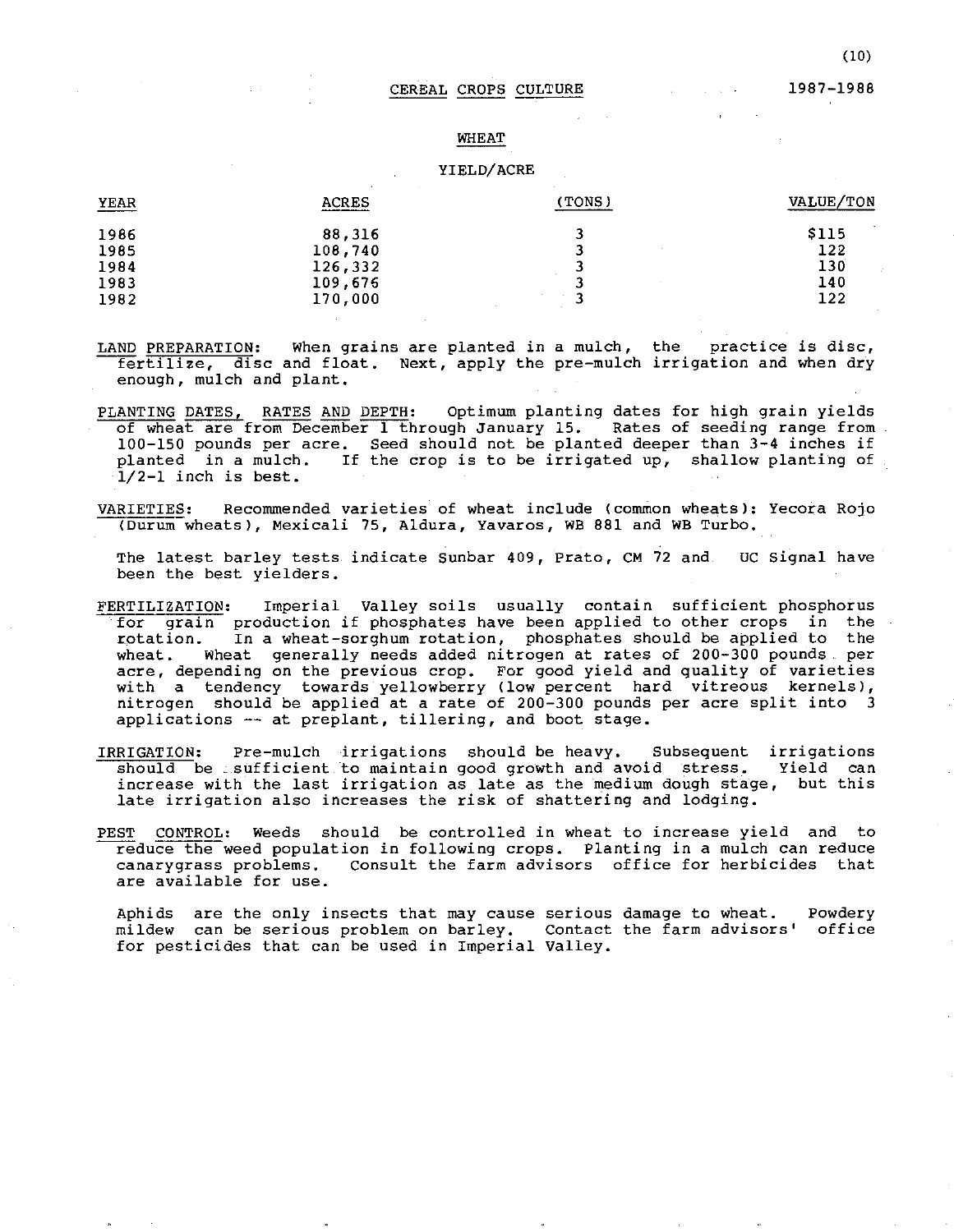#### 1987-1988

#### WHEAT

#### YIELD/ACRE

| YEAR | <b>ACRES</b> | (TONS) | VALUE/TON             |
|------|--------------|--------|-----------------------|
| 1986 | 88,316       |        | $\sim$<br><b>S115</b> |
| 1985 | 108,740      |        | 122                   |
| 1984 | 126,332      |        | 130                   |
| 1983 | 109,676      |        | 140                   |
| 1982 | 170,000      | -      | 122                   |

- LAND PREPARATION: When grains are planted in a mulch, the practice is disc, fertilize, disc and float. Next, apply the pre-mulch irrigation and when dry enough, mulch and plant.
- PLANTING DATES, RATES AND DEPTH: Optimum planting dates for high grain yields of wheat are from December 1 through January 15. Rates of seeding range from 100-150 pounds per acre. Seed should not be planted deeper than 3-4 inches if planted in a mulch. If the crop is to be irrigated up, shallow planting of 1/2-1 inch is best.
- VARIETIES: Recommended varieties of wheat include (common wheats): Yecora Rojo (Durum wheats), Mexicali 75, Aldura, Yavaros, WB 881 and WB Turbo.

The latest barley tests indicate Sunbar 409, Prato, CM 72 and OUC Signal have been the best yielders.

- FERTILIZATION: Imperial Valley soils usually contain sufficient phosphorus for grain production if phosphates have been applied to other crops in the rotation. In a wheat-sorghum rotation, phosphates should be applied to the wheat. Wheat generally needs added nitrogen at rates of 200-300 pounds per acre, depending on the previous crop. For good yield and quality of varieties with a tendency towards yellowberry (low percent hard vitreous kernels), nitrogen should be applied at a rate of 200-300 pounds per acre split into 3 applications -- at preplant, tillering, and boot stage.
- IRRIGATION: Pre-mulch irrigations should be heavy. Subsequent irrigations should be . sufficient to maintain good growth and avoid stress. Yield can increase with the last irrigation as late as the medium dough stage, but this late irrigation also increases the risk of shattering and lodging.
- PEST CONTROL: Weeds should be controlled in wheat to increase yield and to reduce the weed population in following crops. Planting in a mulch can reduce canarygrass problems. Consult the farm advisors office for herbicides that are available for use.

Aphids are the only insects that may cause **serious**  damage to wheat. mildew can be serious problem on barley. Contact the farm advisors' office for pesticides that can be used in Imperial Valley. Powdery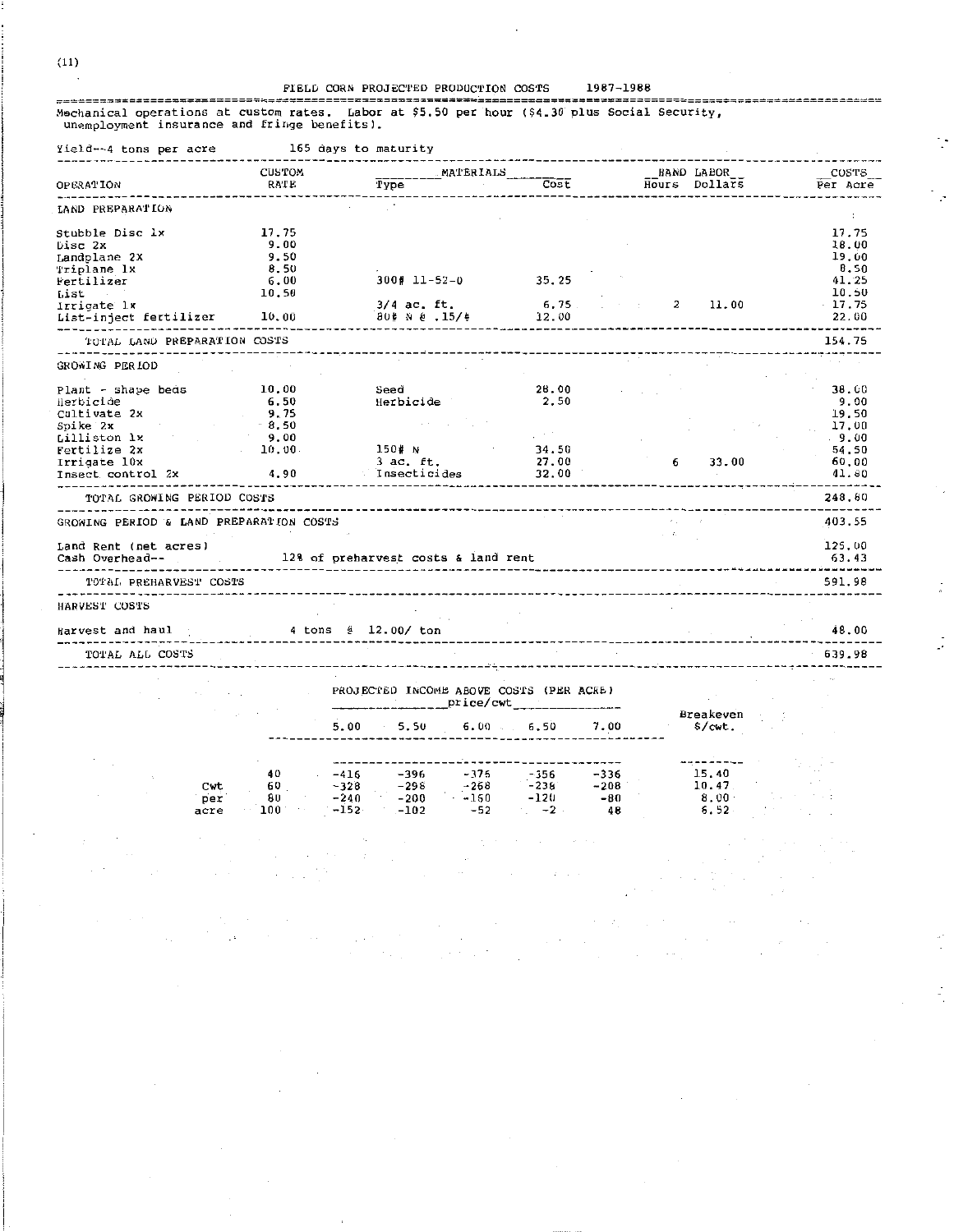\*\*\*\*\*\*\*\*\*\*\*\*\*\*

 $\cdot$ 

 $\overline{\phantom{a}}$ 

 $\frac{1}{4}$ 

 $\mathbf{r}$ 

 $\frac{1}{\gamma_1}$ 

Experimental operations at custom rates. Labor at \$5,50 per hour (\$4.30 plus Social Security,<br>unemployment insurance and fringe benefits).

> $\sim$  $\tau = 1/2$

 $\sim$ 

 $\sim 10^{-10}$ 

| Yield…~4 tons per acre                      | 165 days to maturity |                                                                                                               |                                   |                   |                   |
|---------------------------------------------|----------------------|---------------------------------------------------------------------------------------------------------------|-----------------------------------|-------------------|-------------------|
|                                             | CUSTOM               | MATERIALS                                                                                                     |                                   | <b>HAND LABOR</b> | COSTS             |
| OPERATION                                   | RATE                 | Type                                                                                                          | Cost                              | Hours Dollars     | Per Acre          |
| LAND PREPARATION                            |                      |                                                                                                               |                                   |                   |                   |
| Stubble Disc lx                             | 17.75                |                                                                                                               |                                   |                   | 17.75             |
| Disc 2x                                     | 9.00                 |                                                                                                               |                                   |                   | 18.00             |
| Landplane 2X                                | 9.50                 |                                                                                                               |                                   |                   | 19.00             |
| Triplane 1x                                 | 8.50                 |                                                                                                               |                                   |                   | <b>B.50</b>       |
| Fertilizer                                  | 6.00                 | $300$ # 11-52-0 35.25                                                                                         |                                   |                   | 41.25             |
| List<br>and the control                     | 10.50                |                                                                                                               |                                   |                   | 10.50             |
| Irrigate lx                                 |                      | $3/4$ ac. ft. 6.75                                                                                            |                                   | $2 \quad 11.00$   | $-17.75$          |
| List-inject fertilizer 10.00                |                      | 80# N @ .15/#                                                                                                 | 12.00                             |                   | 22.00             |
| -----------<br>TOTAL LAND PREPARATION COSTS |                      |                                                                                                               |                                   |                   | 154.75            |
| GROWING PERIOD                              |                      |                                                                                                               |                                   |                   |                   |
|                                             |                      |                                                                                                               |                                   |                   |                   |
| Plant - shape beds                          | 10.00                | Seed                                                                                                          | 28.00                             |                   | 38.00             |
| Herbicide de                                | 6.50                 | Herbicide                                                                                                     | 2.50                              |                   | 9.00              |
| Cultivate 2x                                | 9.75                 |                                                                                                               |                                   |                   | 19.50             |
| Spike 2x                                    | 8.50                 |                                                                                                               |                                   |                   | 17.00             |
| Lilliston 1x                                | 9.00                 |                                                                                                               |                                   |                   | $-9.00$           |
| Fertilize 2x                                | 10,00                | 150# N                                                                                                        | 34.50                             |                   | 54.50             |
| Irrigate 10x                                |                      | 3 ac. ft.                                                                                                     | 27.00                             | $6\qquad 33.00$   | 60.00             |
| Insect control 2x 4.90 finsecticides 32.00  |                      |                                                                                                               |                                   |                   | 41.80             |
| TOTAL GROWING PERIOD COSTS                  |                      |                                                                                                               | --------------                    |                   | -------<br>248.60 |
| GROWING PERIOD & LAND PREPARATION COSTS     |                      |                                                                                                               |                                   |                   | 403.55            |
|                                             |                      |                                                                                                               |                                   |                   |                   |
| Land Rent (net acres)<br>Cash Overhead--    |                      |                                                                                                               |                                   |                   | 125.00<br>63.43   |
|                                             |                      |                                                                                                               |                                   |                   |                   |
| TOTAL PREHARVEST COSTS                      |                      |                                                                                                               | ---------------------             |                   | 591.98            |
| HARVEST COSTS                               |                      |                                                                                                               |                                   |                   |                   |
| Harvest and haul                            | 4 tons @ 12.00/ ton  |                                                                                                               |                                   |                   | 48.00             |
|                                             |                      |                                                                                                               | --------------------------------- |                   |                   |
| TOTAL ALL COSTS                             |                      |                                                                                                               |                                   |                   | 639.98            |
|                                             |                      |                                                                                                               |                                   |                   |                   |
|                                             |                      | PROJECTED INCOME ABOVE COSTS (PER ACRE)                                                                       |                                   |                   |                   |
|                                             |                      |                                                                                                               |                                   | Breakeven         |                   |
|                                             |                      | 5.00 5.50 6.00 6.50 7.00                                                                                      |                                   | \$∕cwt.           |                   |
|                                             |                      |                                                                                                               |                                   |                   |                   |
|                                             | 40                   |                                                                                                               | ----                              | 15.40             |                   |
| Cwt                                         | 60                   | $-416$ $-396$<br>$-328$ $-298$                                                                                |                                   | 10.47             |                   |
| per                                         |                      | $-416$ $-396$ $-375$ $-356$ $-336$<br>$-328$ $-298$ $-268$ $-238$ $-208$<br>$-240$ $-200$ $-150$ $-120$ $-80$ |                                   | 8.00              |                   |
| acre                                        |                      | $100 -152 -102 -52 -2 48$                                                                                     |                                   | $6.52 -$          |                   |
|                                             |                      |                                                                                                               |                                   |                   |                   |

 $\sigma = \sigma_1 \otimes \cdots \otimes \sigma_m$ 

 $\sim$ 

 $(11)$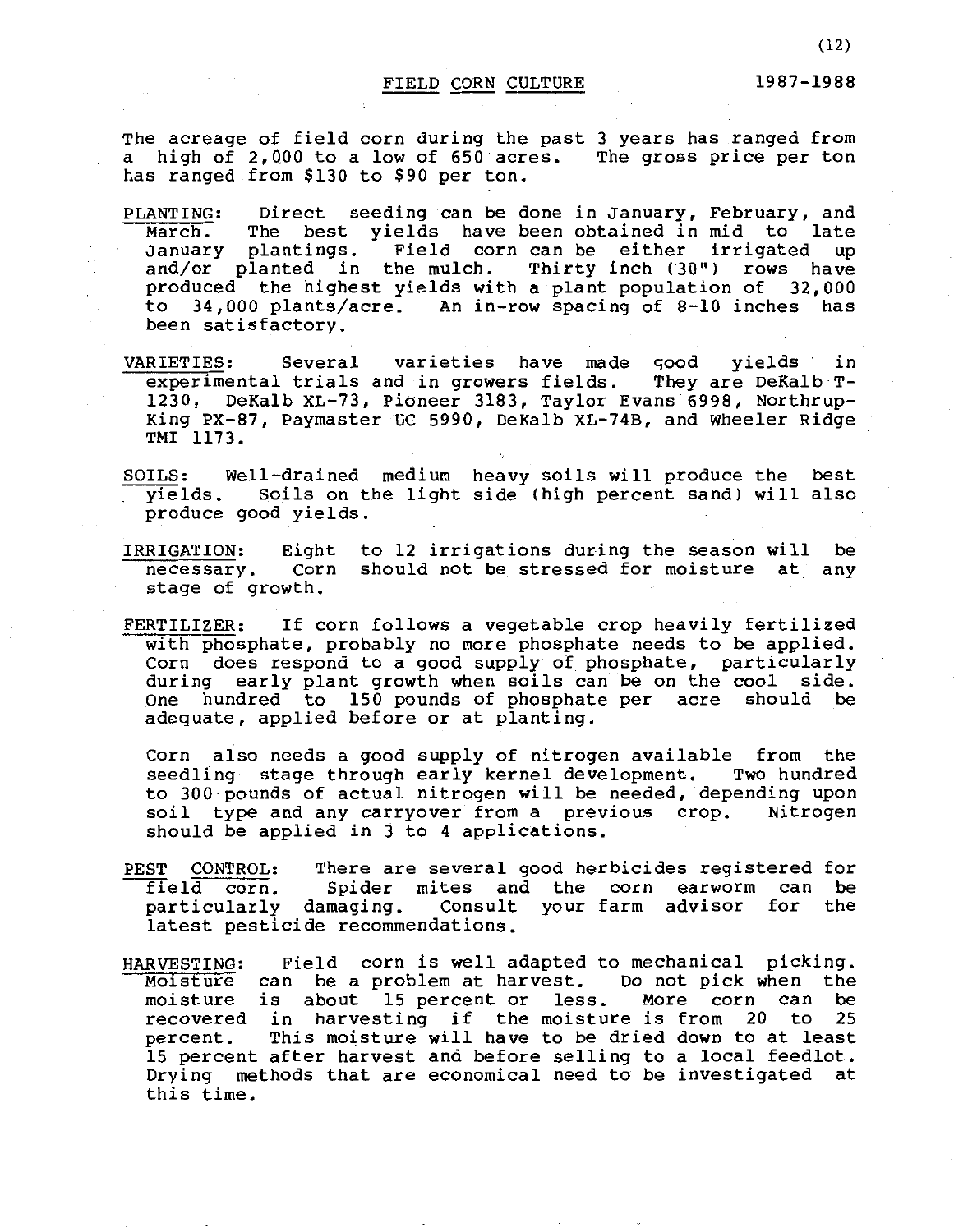The acreage of field corn during the past 3 years has ranged from a high of 2,QOO to a low of 650 acres. The gross price per ton has ranged from \$130 to \$90 per ton.

- PLANTING: Direct seeding can be done in January, February, and<br>March. The best vields have been obtained in mid to late March. The best yields have been obtained in mid to<br>January plantings. Field corn can be either irrigate Field corn can be either irrigated up and/or planted in the mulch. Thirty inch (30") rows have produced the highest yields with a plant population of 32,000 to 34,000 plants/acre. An in-row spacing of 8-10 inches has been satisfactory.
- VARIETIES: Several varieties have made good yields in<br>experimental trials and in growers fields. They are DeKalb Texperimental trials and in growers fields. 1230, DeKalb XL-73, Pioneer 3183, Taylor Evans 6998, Northrup-King PX-87, Paymaster UC 5990, DeKalb XL-74B, and Wheeler Ridge TMI 1173.
- SOILS: Well-drained medium heavy soils will produce the best yields. Soils on the light side (high percent sand) will also yields. Soils on t<br>produce good yields.
- IRRIGATION: necessary. stage of growth. Eight to 12 irrigations during the season will be Corn should not be stressed for moisture at any
- FERTILIZER: If corn follows a vegetable crop heavily fertilized with phosphate, probably no more phosphate needs to be applied. Corn does respond to a good supply of phosphate, particularly during early plant growth when soils can be on the cool side.<br>One hundred to 150 pounds of phosphate per acre should be hundred to 150 pounds of phosphate per acre should be adequate, applied before or at planting.

Corn also needs a good supply of nitrogen available from the seedling stage through early kernel development. Two hundred to 300 pounds of actual nitrogen will be needed, depending upon<br>soil type and any carryover from a previous crop. Nitrogen soil type and any carryover from a previous crop. should be applied in 3 to 4 applications.

- PEST CONTROL: There are several good herbicides registered for<br>field corn. Spider mites and the corn earworm can be field corn. Spider mites and the corn earworm can be<br>particularly damaging. Consult your farm advisor for the Consult your farm advisor for the latest pesticide recommendations.
- HARVESTING: Field corn is well adapted to mechanical picking.<br>Moisture can be a problem at harvest. Do not pick when the Moisture can be a problem at harvest. Do not pick when the moisture is about 15 percent or less. More corn can be moisture is about 15 percent or less. More corn can be recovered in harvesting if the moisture is from 20 to percent. This moisture will have to be dried down to at lea This moisture will have to be dried down to at least 15 percent after harvest and before selling to a local feedlot. Drying methods that are economical need to be investigated at this time.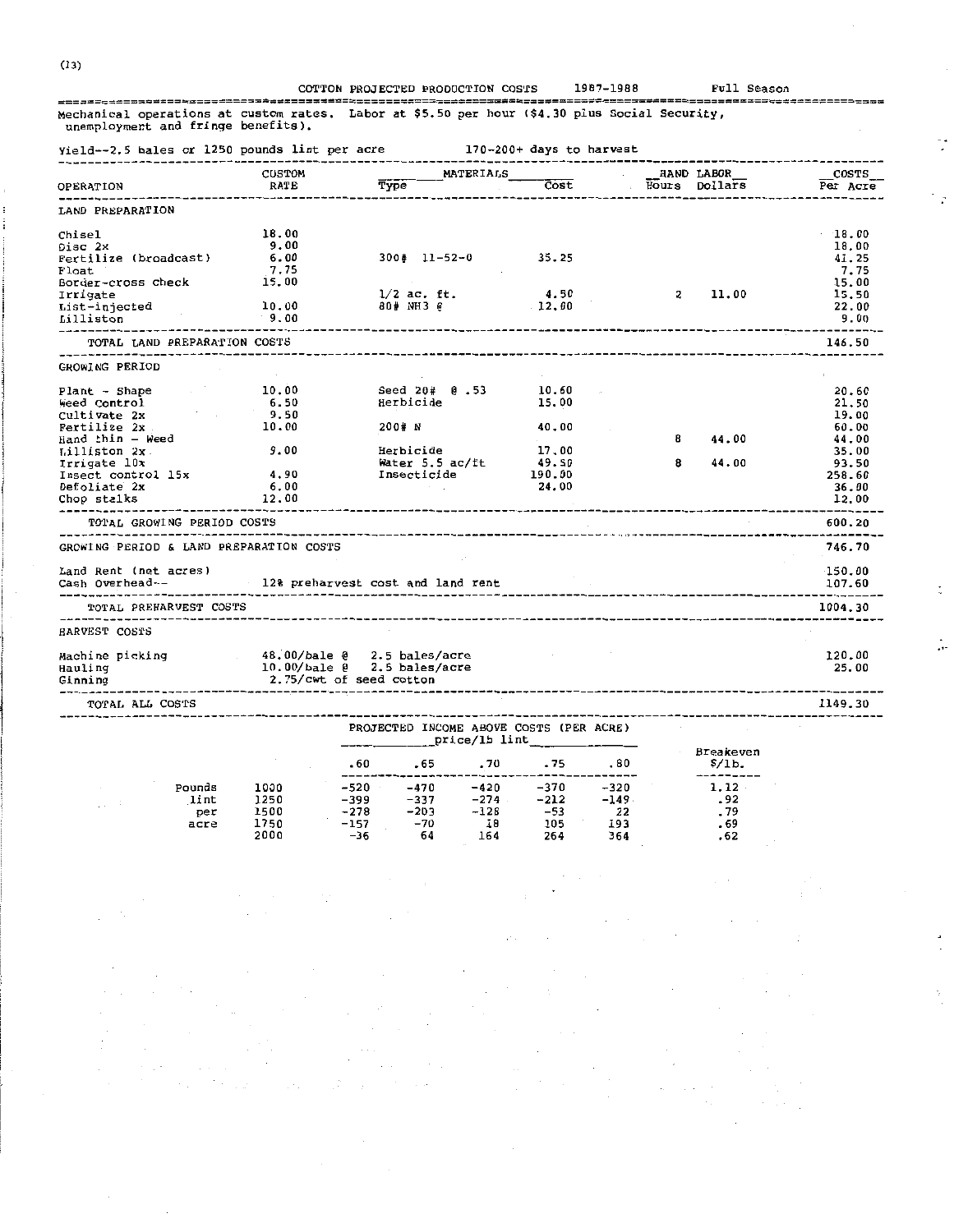|  | COTTON PROJECTED PRODUCTION COSTS | 1987-1988 |
|--|-----------------------------------|-----------|
|  |                                   |           |

Full Season

 $\ddot{\phantom{1}}$ 

--------

-----------;===== Mechanical operations at custom rates. Labor at \$5.50 per hour (\$4.30 plus Social Security, unemployment and fringe benefits).

 $-520$ 

 $-309$ 

 $-278$ 

 $-157$ 

 $-36$ 

1000

1250

1500

1750

2000

Pounds

lint

 $accre$ 

per

170-200+ days to harvest Yield--2.5 bales or 1250 pounds lint per acre -------------------<sup>-</sup> ----------------------------------------------------------CUSTOM MATERIALS HAND LABOR COSTS Hours Dollars Type  $\overline{Cost}$ Per Acre RATE **OPERATION** ------------والمتراجع لمترابط لتداعب التناز . . . . . . . . . . . -----------LAND PREPARATION  $18.00$ 18.00 Chisel 18.00 Disc 2x 9.00  $300*$  11-52-0 35.25 41.25<br>7.75 Fertilize (broadcast)  $6.00$  $7.75$ Float 15.00 15.00 Border-cross check 4.50  $1/2$  ac. ft.  $\overline{2}$ 11.00 15.50 Irrigate List-injected 10.00 80# NH3 @ 22,00  $12.00$  $9.00$  $9.00$ Lilliston  $- - -$ TOTAL LAND PREPARATION COSTS 146.50 GROWING PERIOD 20.60 Plant - Shape 10.00 Seed 20# @.53 10.60 Weed Control 6.50 Herbicide 15.00 21.50 Cultivate 2x 9.50 19.00 200# N 40.00 60.00 Fertilize 2x 10.00  $\overline{\mathbf{B}}$ 44.00 44.00 Hand thin - weed Herbicide<br>Water 5.5 ac/ft<br>Insecticide 9.00 17,00 35.00 Lilliston 2x. 49.50 8 44.00 93.50 Irrigate 10x 4.90 190.00 258.60 Insect control 15x 36.00  $6.00$ 24,00 Defoliate 2x 12.00 12.00 Chop stalks TOTAL GROWING PERIOD COSTS 600.20 GROWING PERIOD & LAND PREPARATION COSTS 746.70 150.00 Land Rent (net acres) Cash Overhead--12% preharvest cost and land rent 107.60 --------------------------------------------------1004.30 TOTAL PREHARVEST COSTS . \_ \_ \_ \_ \_ \_ \_ \_ **HARVEST COSTS** 48.00/bale @<br>10.00/bale @ 2.5 bales/acre 120.00 Machine picking 2.5 bales/acre 25.00 Hauling 2.75/cwt of seed cotton Ginning 1149.30 TOTAL ALL COSTS PROJECTED INCOME ABOVE COSTS (PER ACRE) price/lb lint Breakeven  $.75$  $.80$  $.60$ .65  $.70$  $\frac{\xi}{\delta}$ .  $\frac{1}{2}$ ---------------------------------------------

 $-370$ 

 $-212$ 

 $-53$ 

105

264

 $-420$ 

 $-274$ 

 $-128$ 

 $18$ 

164

 $-470$ 

 $-337$ 

 $-203$ 

 $-70$ 

64

 $-320$ 

 $-149$ 

 $22$ 

193

364

1.12

 $-92$ 

 $.79$ 

 $.69$ 

 $.62$ 

 $(13)$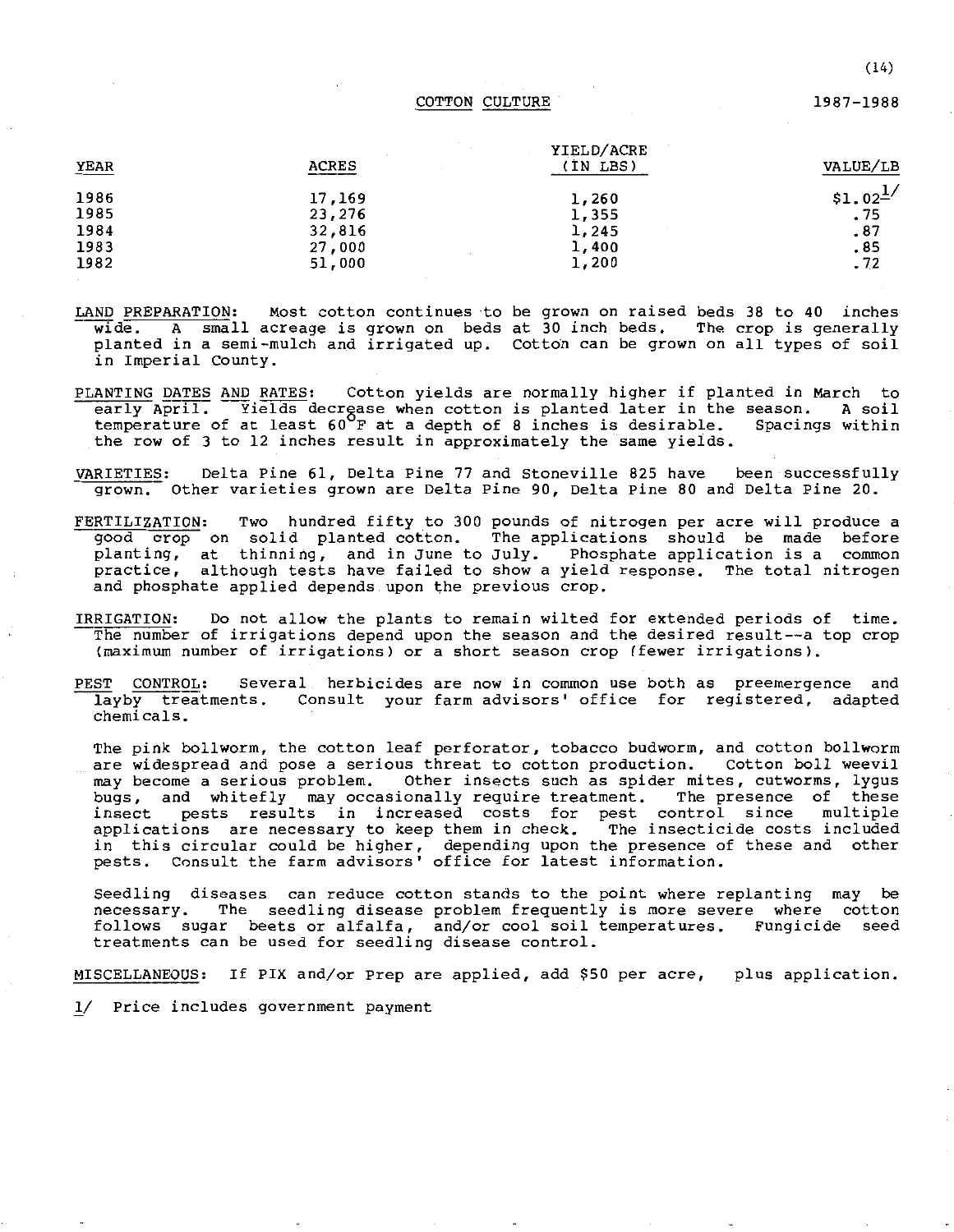#### COTTON CULTURE 1987-1988

| YIELD/ACRE |           |
|------------|-----------|
| (IN LBS)   | VALUE/LB  |
| 1,260      | $$1.02^1$ |
| 1,355      | .75       |
| 1,245      | .87       |
| 1,400      | .85       |
| 1,200      | .72       |
|            |           |

- LAND PREPARATION: Most cotton continues to be grown on raised beds 38 to 40 inches wide. A small acreage is grown on beds at 30 inch beds. The crop is generally planted in a semi-mulch and irrigated up. Cotton can be grown on all types of soil in Imperial County.
- PLANTING DATES AND RATES: Cotton yields are normally higher if planted in March to early  $\overline{April.}$  --Yields decrease when cotton is planted later in the season. A soil<br>temperature of at least 60 F at a depth of 8 inches is desirable. Spacings within temperature of at least  $60^{\circ}$ F at a depth of 8 inches is desirable. the row of 3 to 12 inches result in approximately the same yields.
- VARIETIES: Delta Pine 61, Delta Pine 77 and Stoneville 825 have been successfully grown. Other varieties grown are Delta Pine 90, Delta Pine 80 and Delta Pine 20.
- FERTILIZATION: Two hundred fifty to 300 pounds of nitrogen per acre will produce a good crop on solid planted cotton. The applications should be made before planting, at thinning, and in June to July. Phosphate application is a common practice, although tests have failed to show a yield response. The total nitrogen and phosphate applied depends upon the previous crop.
- IRRIGATION: Do not allow the plants to remain wilted for extended periods of time. The number of irrigations depend upon the season and the desired result--a top crop **(maximum number of irrigations) or a short season crop (fewer irrigations).**
- PEST CONTROL: Several herbicides are now in common use both as preemergence and layby treatments. Consult your farm advisors' office for registered, adapted chemicals.

The pink bollworm, the cotton leaf perforator, tobacco budworm, and cotton bollworm are widespread and pose a serious threat to cotton production. Cotton boll weevil **may become a serious problem. Other insects such as spider mites, cutworms, lygus**  bugs, and whitefly may occasionally require treatment. The presence of these<br>insect pests results in increased costs for pest control since multiple **insect pests results in increased costs for pest control since multiple**  applications are necessary to keep them in check. The insecticide costs included in this circular could be higher, depending upon the presence of these and other pests. Consult the farm advisors' office for latest information.

Seedling diseases can reduce cotton stands to the point where replanting may be necessary. The seedling disease problem frequently is more severe where cotton follows sugar beets or alfalfa, and/or cool soil temperatures. Fungicide seed treatments can be used for seedling disease control.

MISCELLANEOUS: If PIX and/or Prep are applied, add \$50 per acre, plus application.

11 Price includes government payment

(14)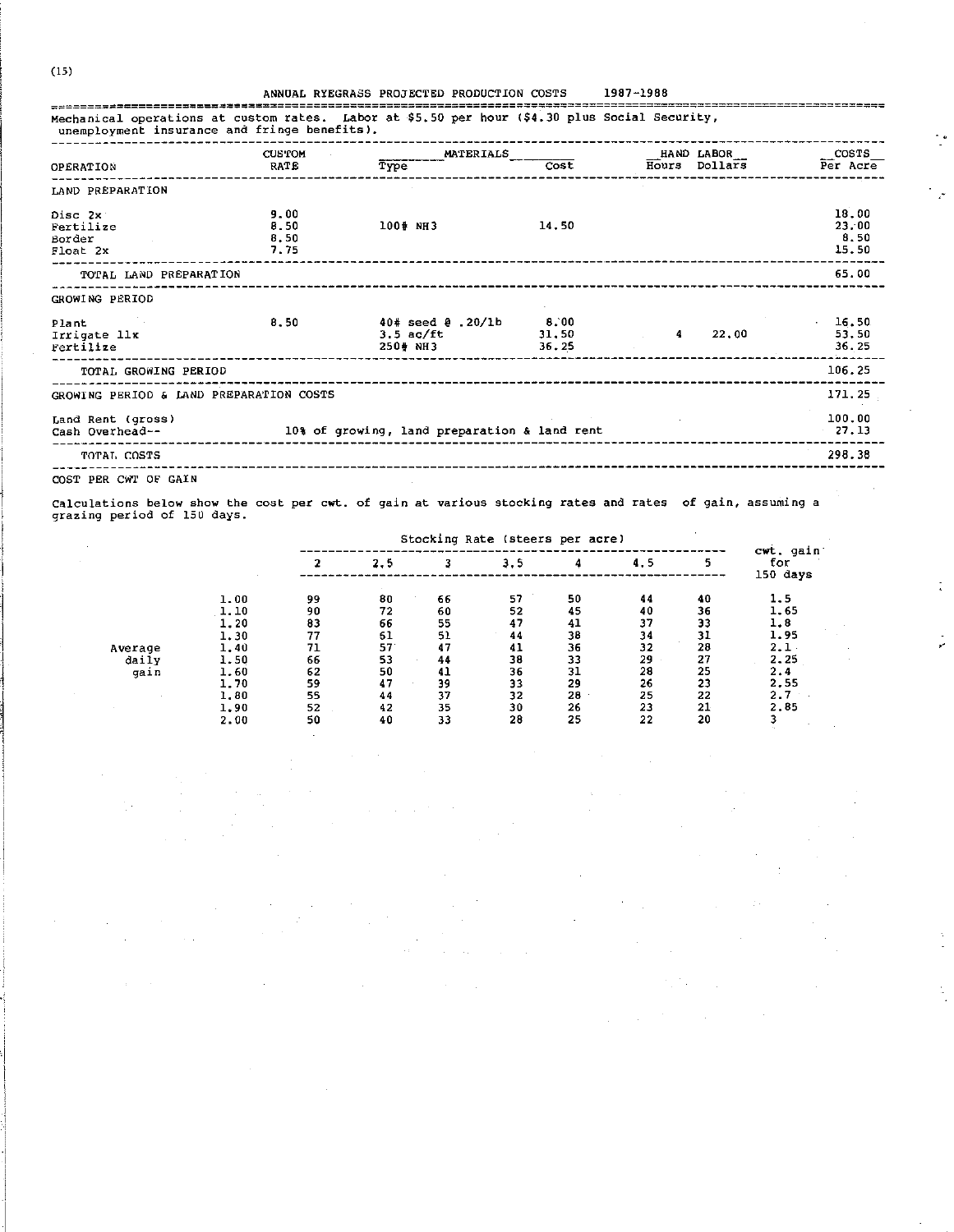|                                                          | <b>CUS POM</b>               | MATERIALS                                                                                                                                                                                                                      |       |        | $HAND$ $LABOR$                    | $\sim$ COSTS                    |
|----------------------------------------------------------|------------------------------|--------------------------------------------------------------------------------------------------------------------------------------------------------------------------------------------------------------------------------|-------|--------|-----------------------------------|---------------------------------|
| OPERATION                                                | RATE                         | Type                                                                                                                                                                                                                           | Cost  |        | $\overline{\text{Hours}}$ Dollars | Per Acre                        |
| LAND PREPARATION                                         |                              |                                                                                                                                                                                                                                |       |        |                                   |                                 |
| Disc 2x<br>Fertilize<br>Border<br>Float 2x               | 9.00<br>8.50<br>8.50<br>7.75 | 100# NH3                                                                                                                                                                                                                       | 14.50 |        |                                   | 18,00<br>23.00<br>8.50<br>15.50 |
| TOTAL LAND PREPARATION                                   |                              |                                                                                                                                                                                                                                |       |        |                                   | 65.00                           |
| GROWING PERIOD                                           |                              |                                                                                                                                                                                                                                |       |        |                                   |                                 |
| Plant<br>and the control of<br>Irrigate llx<br>Fertilize | 8.50                         | $40* \text{ seed } 0$ , $20/16$ 8, 00<br>$3.5 \text{ ac/ft}$ $31.50$<br>250# NH3                                                                                                                                               | 36.25 | $\sim$ | 22.00                             | $-16.50$<br>53.50<br>36.25      |
| TOTAL GROWING PERIOD                                     |                              | and the contract of the contract of the contract of the contract of the contract of the contract of the contract of the contract of the contract of the contract of the contract of the contract of the contract of the contra |       |        |                                   | 106.25                          |
| GROWING PERIOD & LAND PREPARATION COSTS                  |                              |                                                                                                                                                                                                                                |       |        |                                   | 171, 25                         |
| Land Rent (gross)<br>Cash Overhead--                     |                              | 10% of growing, land preparation & land rent                                                                                                                                                                                   |       |        |                                   | 100.00<br>27.13                 |
| TOTAL COSTS                                              |                              |                                                                                                                                                                                                                                |       |        |                                   | ------<br>298.38                |

 $\ddot{\cdot}$ 

 $\frac{1}{4}$ 

÷,

COST PER CWT OF GAIN

 $\sim$   $\sim$ 

Calculations below show the cost per cwt. of gain at various stocking rates and rates of gain, assuming a grazing period of 150 days.

|         |      | Stocking Rate (steers per acre) |     |    |     |    |     |    | cwt, gain       |
|---------|------|---------------------------------|-----|----|-----|----|-----|----|-----------------|
|         |      |                                 | 2.5 |    | 3.5 |    | 4.5 | 5  | for<br>150 days |
|         | 1.00 | 99                              | 80  | 66 | 57  | 50 | 44  | 40 | 1.5             |
|         | 1.10 | 90                              | 72  | 60 | 52  | 45 | 40  | 36 | 1.65            |
|         | 1,20 | 83                              | 66  | 55 | 47  | 41 | 37  | 33 | 1.8             |
|         | 1.30 | 77                              | 61  | 51 | 44  | 38 | 34  | 31 | 1.95            |
| Average | 1.40 | 71                              | 57  | 47 | 41  | 36 | 32  | 28 | 2.1             |
| daily   | 1.50 | 66                              | 53  | 44 | 38  | 33 | 29  | 27 | 2.25            |
| gain    | 1.60 | 62                              | 50  | 41 | 36  | 31 | 28  | 25 | 2.4             |
|         | 1.70 | 59                              | 47  | 39 | 33  | 29 | 26  | 23 | 2.55            |
|         | 1,80 | 55                              | 44  | 37 | 32  | 28 | 25  | 22 | 2.7             |
|         | 1.90 | 52                              | 42  | 35 | 30  | 26 | 23  | 21 | 2.85            |
|         | 2.00 | 50                              | 40  | วง | 28  | 25 | 22  | 20 |                 |

L.

 $(15)$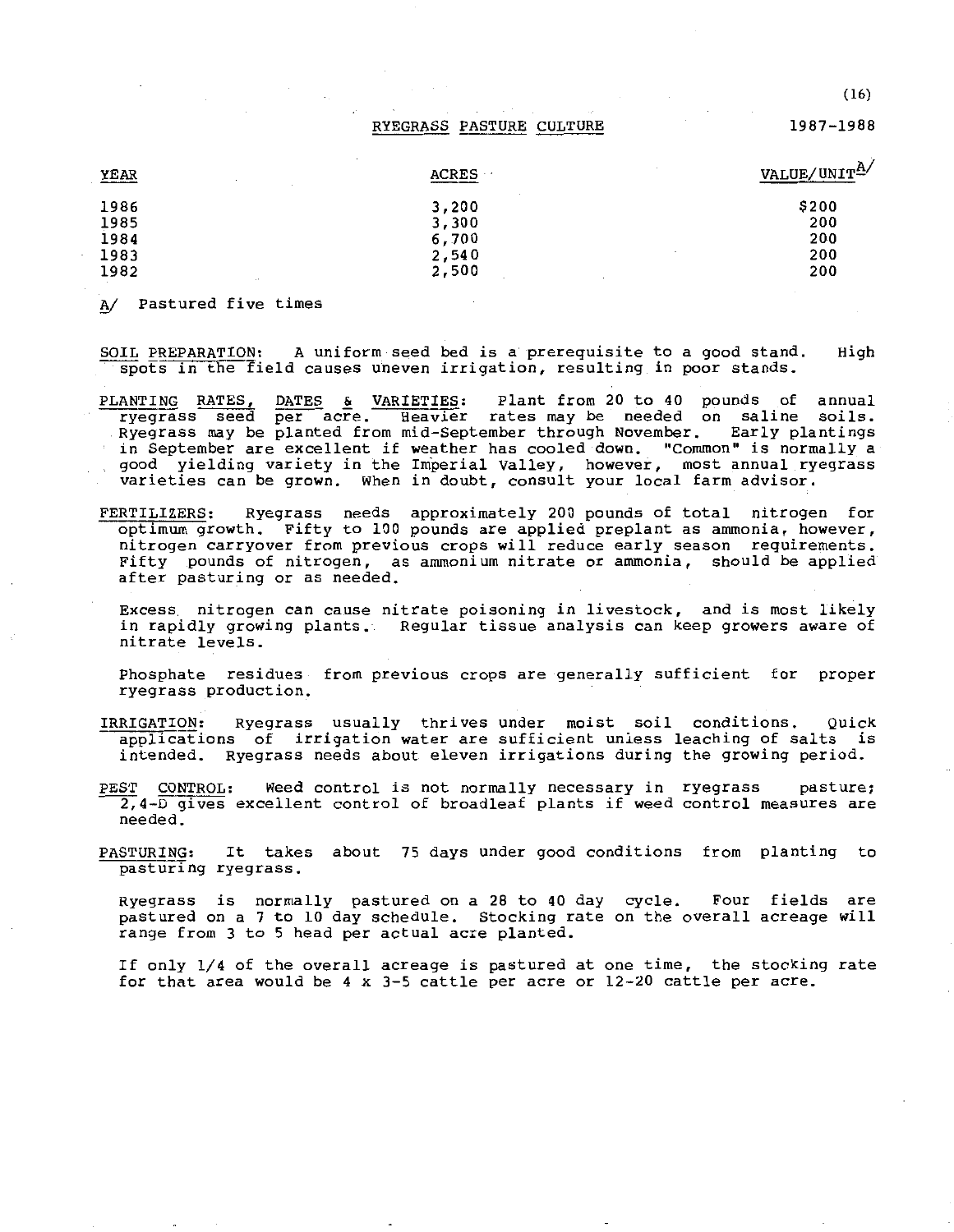RYEGRASS PASTURE CULTURE

1987-1988

(16)

| YEAR           | <b>ACRES</b> | VALUE/UNITA |
|----------------|--------------|-------------|
| 1986           | 3,200        | \$200       |
| 1985           | 3,300        | 200         |
| 1984           | 6,700        | 200         |
| 1983           | 2,540        | 200         |
| 1982<br>$\sim$ | 2,500        | 200         |

A/ Pastured five times

SOIL PREPARATION: A uniform seed bed is a prerequisite to a good stand. spots in the field causes uneven irrigation, resulting in poor stands. High

PLANTING RATES, DATES & VARIETIES: Plant from 20 to 40 pounds of annual ryegrass seed per acre. Heavier rates may be needed on saline soils. Ryegrass may be planted from mid-September through November. Early plantings **in September are excellent if weather has cooled down. "Common" is normally a**  good yielding variety in the Imperial Valley, however, most annual ryegrass **varieties can be grown. When in doubt, consult your local farm advisor.** 

FERTILIZERS: Ryegrass needs approximately 200 pounds of total nitrogen for optimum growth. Fifty to 100 pounds are applied preplant as ammonia, however, **nitrogen carryover from previous crops will reduce early season requirements.**  Fifty pounds of nitrogen, as ammonium nitrate or ammonia, should be applied after pasturing or as needed.

Excess nitrogen can cause nitrate poisoning in livestock, and is most likely in rapidly growing plants. **Regular tissue analysis can keep growers aware of nitrate levels.** 

Phosphate residues from previous crops are generally sufficient for proper ryegrass production.

- IRRIGATION: Ryegrass usually thrives under moist soil conditions. Quick applications of irrigation water are sufficient unless leaching of salts is intended. Ryegrass needs about eleven irrigations during the growing period.
- PEST CONTROL: Weed control is not normally necessary in ryegrass pasture; ~4-[)gives excellent control of broadleaf plants if weed **control measures are**  needed.
- PASTURING: It takes about 75 days under good conditions from planting to pasturing ryegrass.

Ryegrass is normally pastured on a 28 to 40 day pastured on a 7 to 10 day schedule. Stocking rate on the overall acreage will range from 3 to 5 head per actual acre planted. Four fields are

If only 1/4 of the overall acreage *is* pastured at one time, the stocking rate for that area would be 4 x 3-5 cattle per acre or 12-20 cattle per acre.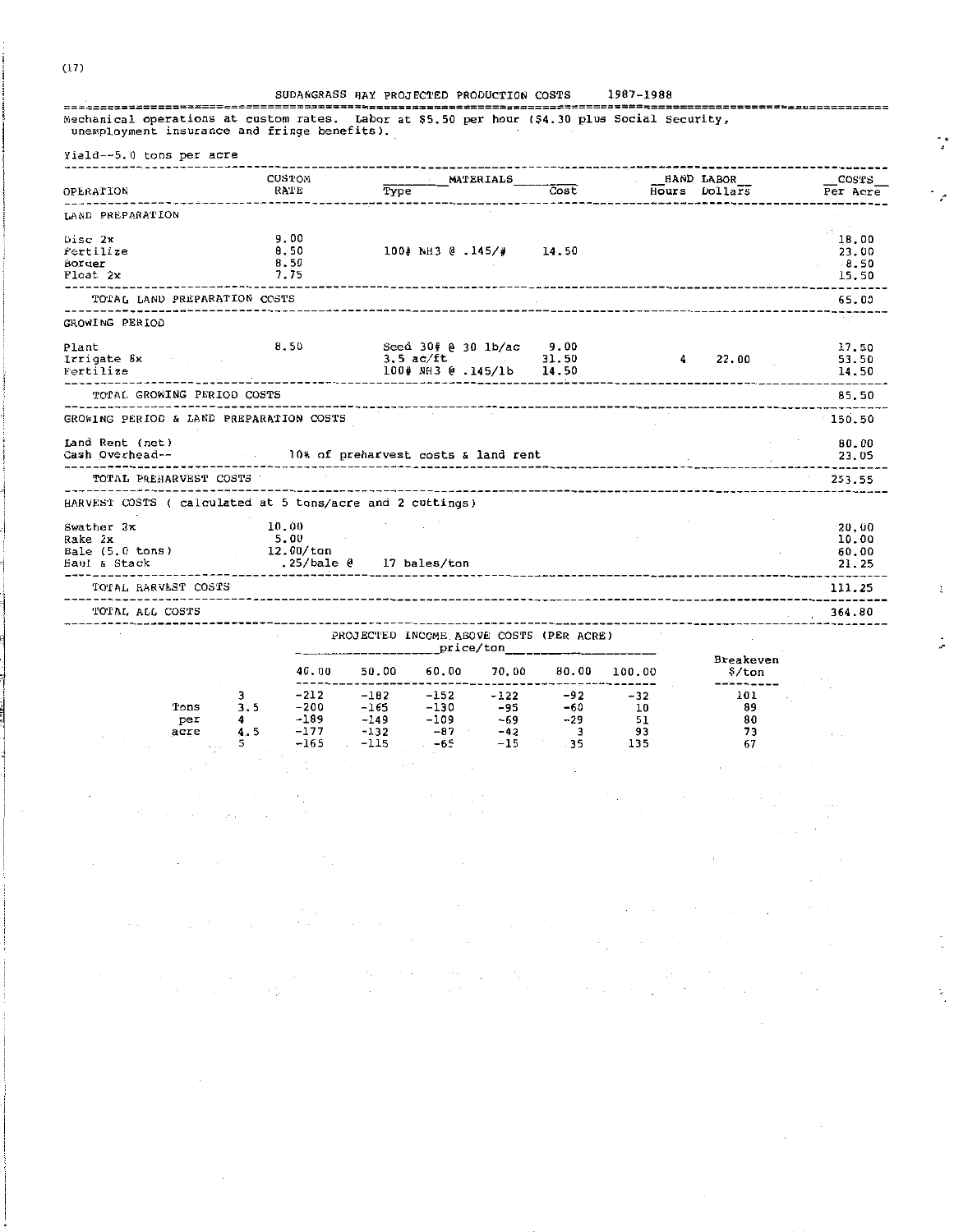#### SUDANGRASS HAY PROJECTED PRODUCTION COSTS 1987-1988

Mechanical operations at custom rates. Labor at \$5.50 per hour (\$4.30 plus Social Security, unemployment insurance and fringe benefits).

| Yield--5.0 tons per acre                                  |                  |                                     |              |                                                      |           |                         |                                   |                                    |                   |
|-----------------------------------------------------------|------------------|-------------------------------------|--------------|------------------------------------------------------|-----------|-------------------------|-----------------------------------|------------------------------------|-------------------|
| OPERATION                                                 |                  | CUSTOM<br>RATE                      | Type         |                                                      | MATERIALS | Cost                    |                                   | <b>HAND LABOR</b><br>Hours Dollars | COSTS<br>Per Acre |
|                                                           | ---------------- |                                     | . <b>.</b> . |                                                      |           |                         |                                   |                                    |                   |
| LAND PREPARATION                                          |                  |                                     |              |                                                      |           |                         |                                   |                                    |                   |
| Disc 2x                                                   |                  | 9.00                                |              |                                                      |           |                         |                                   |                                    | 18.00             |
| fertilize                                                 |                  | 8.50                                |              | 100# NH3 @ .145/# 14.50                              |           |                         |                                   |                                    | 23.00             |
| Border                                                    |                  | 8.50                                |              |                                                      |           |                         |                                   |                                    | 8.50              |
| Float 2x                                                  |                  | 7.75                                |              |                                                      |           |                         | _____                             |                                    | 15,50<br>------   |
| TOTAL LAND PREPARATION COSTS                              |                  |                                     |              |                                                      |           |                         |                                   |                                    | 65.00             |
| GROWING PERIOD                                            |                  |                                     |              |                                                      |           |                         |                                   |                                    |                   |
| Plant                                                     |                  | 8.50                                |              | Seed 30# @ 30 lb/ac 9.00                             |           |                         |                                   |                                    | 17.50             |
| Irrigate 8x                                               |                  |                                     |              | $3.5$ ac/ft and $\sim$                               |           | 31.50                   | 4                                 | 22.00                              | 53.50             |
| Fertilize                                                 |                  |                                     |              | 100# NH3 @ .145/1b 14.50                             |           |                         |                                   |                                    | 14.50             |
| TOTAL GROWING PERIOD COSTS                                |                  |                                     |              |                                                      |           |                         |                                   |                                    | 85.50             |
| GROWING PERIOD & LAND PREPARATION COSTS                   |                  |                                     |              |                                                      |           |                         |                                   |                                    | 150.50            |
| Land Rent (net)                                           |                  |                                     |              |                                                      |           |                         |                                   |                                    | 80.00             |
| Cash Overhead--                                           |                  | 10% of preharvest costs & land rent |              |                                                      |           |                         |                                   |                                    | 23.05             |
|                                                           |                  |                                     |              |                                                      |           |                         |                                   |                                    |                   |
| TOTAL PREHARVEST COSTS                                    |                  |                                     |              |                                                      |           |                         | -------------------------------   |                                    | 253.55            |
| HARVEST COSTS ( calculated at 5 tons/acre and 2 cuttings) |                  |                                     |              |                                                      |           |                         |                                   |                                    |                   |
| Swather 2x                                                |                  | 10.00                               |              |                                                      |           |                         |                                   |                                    | 20,00             |
| Rake 2x                                                   |                  | 5.00                                |              |                                                      |           |                         |                                   |                                    | 10.00             |
| Bale (5.0 tons)                                           |                  | 12.00/ton                           |              |                                                      |           |                         |                                   |                                    | 60.00             |
| Saul & Stack                                              |                  | .25/bale @ 17 bales/ton             |              |                                                      |           |                         | _________________________________ |                                    | 21.25             |
| TOTAL BARVEST COSTS                                       |                  |                                     |              |                                                      |           |                         |                                   |                                    | 111.25            |
| TOTAL ALL COSTS                                           |                  |                                     |              |                                                      |           |                         |                                   |                                    | 364.80            |
|                                                           |                  |                                     |              | PROJECTED INCOME ABOVE COSTS (PER ACRE)<br>price/ton |           |                         |                                   |                                    |                   |
|                                                           |                  |                                     |              |                                                      |           |                         |                                   | Breakeven                          |                   |
|                                                           |                  |                                     |              | 40.00 50.00 60.00 70.00 80.00                        |           |                         | 100.00                            | \$/ton<br>-------                  |                   |
|                                                           | 3                | $-212$                              | $-102$       | $-152 - 122$                                         |           | $-92$                   | $-32$                             | 101.                               |                   |
| Tons                                                      | 3.5              | -200                                | $-165$       | -130                                                 | -95       | $-60$                   | <b>10</b>                         | 89                                 |                   |
| per                                                       | 4                | -189                                |              | $-149 -109 -69$                                      |           | $-29$                   | 51                                | 80                                 |                   |
| acre                                                      | 4.5              | $-177$                              | $-132$       | $-87$                                                | $-42$     | $\overline{\mathbf{3}}$ | 93                                | 73                                 |                   |
|                                                           | 5.               | $-165$                              | $-115$       | $-65$                                                | $-15$     | $-35$                   | 135                               | 67                                 |                   |
|                                                           |                  |                                     |              |                                                      |           |                         |                                   |                                    |                   |
|                                                           |                  |                                     |              |                                                      |           |                         |                                   |                                    |                   |

t

 $\sqrt{2}$ 

 $\mathcal{F}^{\mathcal{G}}_{\mathcal{F}}(\mathcal{G})$  .

 $(17)$ 

 $\sim 10^7$ 

 $\alpha$  , and the second constraints are also the second constraint of the second constraints are  $\alpha$ 

 $\label{eq:2.1} \begin{split} \mathcal{L}_{\text{max}}(\mathbf{r}) = \mathcal{L}_{\text{max}}(\mathbf{r}) \mathcal{L}_{\text{max}}(\mathbf{r}) \mathcal{L}_{\text{max}}(\mathbf{r}) \mathcal{L}_{\text{max}}(\mathbf{r}) \mathcal{L}_{\text{max}}(\mathbf{r}) \mathcal{L}_{\text{max}}(\mathbf{r}) \mathcal{L}_{\text{max}}(\mathbf{r}) \mathcal{L}_{\text{max}}(\mathbf{r}) \mathcal{L}_{\text{max}}(\mathbf{r}) \mathcal{L}_{\text{max}}(\mathbf{r}) \mathcal{L}_{\text{max}}(\mathbf{r}) \$ 

 $\sim$   $\sim$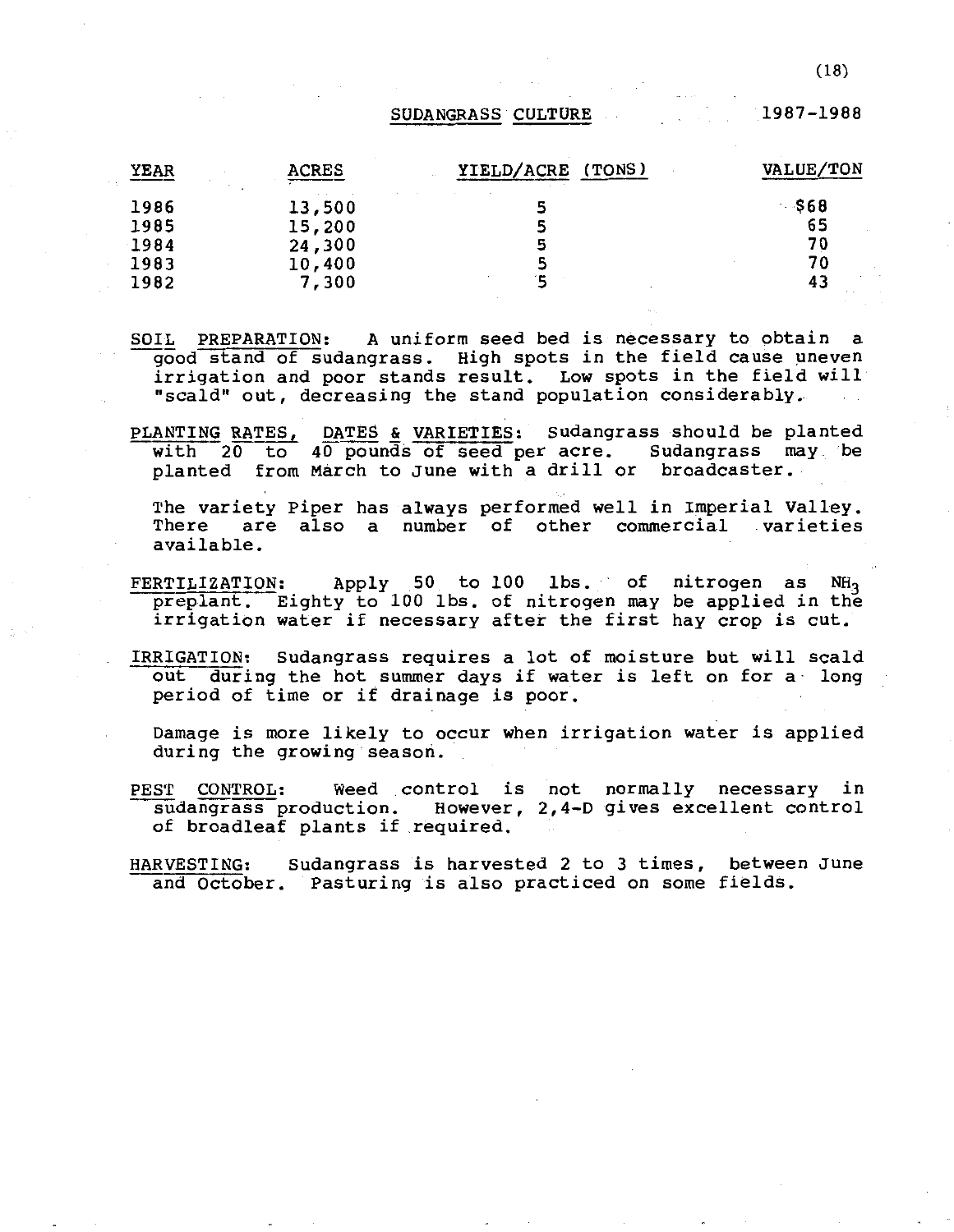#### SUDANGRASS CULTURE

1987-1988

| YEAR | <b>ACRES</b> | YIELD/ACRE<br>(TONS) | VALUE/TON |
|------|--------------|----------------------|-----------|
| 1986 | 13,500       |                      | - \$68    |
| 1985 | 15,200       | 5                    | 65        |
| 1984 | 24,300       | 5                    | 70        |
| 1983 | 10,400       |                      | 70        |
| 1982 | 7,300        |                      | 43        |

- SOIL PREPARATION: A uniform seed bed is necessary to obtain a good stand of sudangrass. High spots in the field cause uneven irrigation and poor stands result. Low spots in the field will "scald" out, decreasing the stand population considerably.
- PLANTING RATES, with 20 to 40 pounds of seed per acre. Sudangrass may be with 20 to 40 pounds of seed per defer buddingthes in DATES & VARIETIES: Sudangrass should be planted<br>40 pounds of seed per acre. Sudangrass may be

The variety Piper has always performed well in Imperial Valley. There are also a number of other commercial varieties available.

- FERTILIZATION: Apply 50 to 100 lbs. of nitrogen as NH preplant. Eighty to 100 lbs. of nitrogen may be applied in the<br>irrigation water if necessary after the first hay crop is cut. irrigation water if necessary after the first hay crop is cut.
- IRRIGATION: sudangrass requires a lot of moisture but will scald out during the hot summer days if water is left on for a long period of time or if drainage is poor.

Damage is more likely to occur when irrigation water is applied during the growing season.

PEST CONTROL: Weed control is not normally necessary in sudangrass production. However, 2,4-D gives excellent control of broadleaf plants if required.

HARVESTING: Sudangrass is harvested 2 to 3 times, between June and October. Pasturing is also practiced on some fields.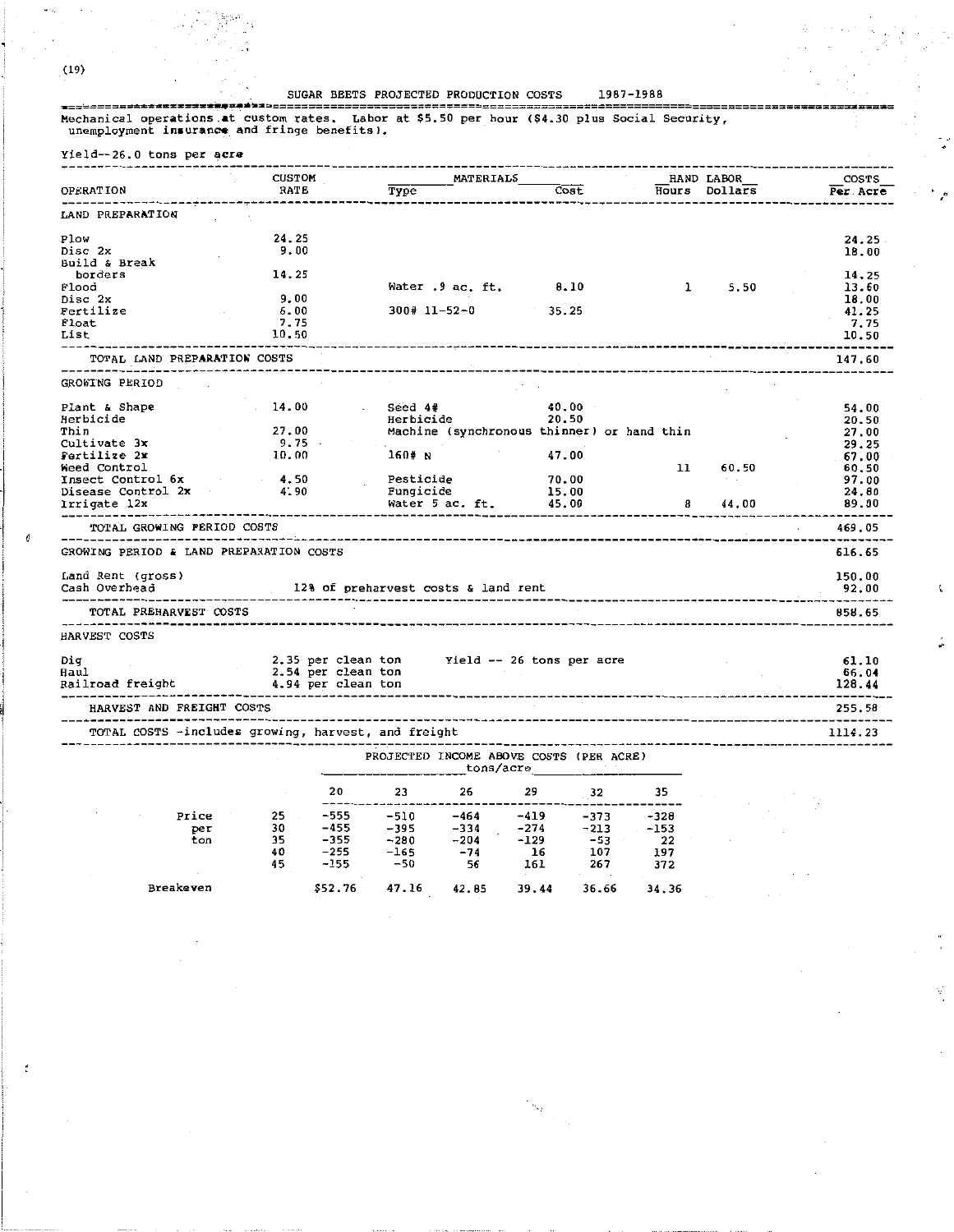(19)

 $\overline{6}$ 

#### SUGAR BEETS PROJECTED PRODUCTION COSTS 1987-1988

,•

 $\zeta$ 

t.

 $\overline{a}$ 

Mechanical operations.at custom publical operations.<br>Mechanical operations.at custom rates. Labor at \$5.50 per hour (\$4.30 plus Social Security, unemployment insurance and fringe benefits).

|                                                                    | <b>CUSTOM</b>                                |                            | MATERIALS                                                                                                                                                                                                 |       |       |                                     | HAND LABOR      | <b>COSTS</b>   |
|--------------------------------------------------------------------|----------------------------------------------|----------------------------|-----------------------------------------------------------------------------------------------------------------------------------------------------------------------------------------------------------|-------|-------|-------------------------------------|-----------------|----------------|
| <b>OPERATION</b>                                                   | RATE                                         | Type                       | the contract of the contract of                                                                                                                                                                           | Cost  |       |                                     | Hours Dollars   | Per Acre       |
| LAND PREPARATION                                                   |                                              |                            |                                                                                                                                                                                                           |       |       |                                     |                 |                |
| Plow                                                               | 24.25                                        |                            |                                                                                                                                                                                                           |       |       |                                     |                 | 24.25          |
| Disc 2x                                                            | 9.00                                         |                            |                                                                                                                                                                                                           |       |       |                                     |                 | 18.00          |
| Build & Break                                                      |                                              |                            |                                                                                                                                                                                                           |       |       |                                     |                 |                |
| borders                                                            | 14.25                                        |                            |                                                                                                                                                                                                           |       |       |                                     |                 | 14,25          |
| Flood                                                              |                                              |                            | Water $.9$ ac. ft. $0.10$                                                                                                                                                                                 |       |       | $\mathbf{1}$                        | 5.50            | 13.60          |
| Disc 2x                                                            | 9.00                                         |                            |                                                                                                                                                                                                           |       |       |                                     |                 |                |
| Fertilize                                                          | 6.00                                         |                            | $300# 11 - 52 - 0$ 35.25                                                                                                                                                                                  |       |       |                                     |                 | 18.00<br>41.25 |
| Float                                                              | 7.75                                         |                            |                                                                                                                                                                                                           |       |       |                                     |                 | 7.75           |
| List                                                               | 10.50                                        |                            |                                                                                                                                                                                                           |       |       |                                     |                 | 10.50          |
|                                                                    |                                              |                            |                                                                                                                                                                                                           |       |       | ----------------------------------- |                 | --------       |
| TOTAL LAND PREPARATION COSTS<br>---------------------------------- |                                              |                            |                                                                                                                                                                                                           |       |       |                                     |                 | 147.60         |
| GROWING PERIOD                                                     |                                              |                            |                                                                                                                                                                                                           |       |       |                                     |                 |                |
| Plant & Shape                                                      | 14.00                                        | Seed 4#<br>$\sim 10^{-11}$ |                                                                                                                                                                                                           | 40.00 |       |                                     |                 | 54.00          |
| Herbicide                                                          |                                              | Herbicide                  |                                                                                                                                                                                                           | 20.50 |       |                                     |                 | 20.50          |
| Thin                                                               |                                              |                            | Machine (synchronous thinner) or hand thin                                                                                                                                                                |       |       |                                     |                 | 27.00          |
| Cultivate 3x                                                       | $27.00$<br>$9.75$<br>$10.00$                 |                            |                                                                                                                                                                                                           |       |       |                                     |                 | 29.25          |
| Pertilize 2x                                                       |                                              | 160# N                     |                                                                                                                                                                                                           | 47.00 |       |                                     |                 | 67.00          |
| Weed Control                                                       |                                              |                            |                                                                                                                                                                                                           |       |       | 11                                  | 60.50           | 60.50          |
| Insect Control 6x                                                  | 4.50                                         |                            |                                                                                                                                                                                                           | 70.00 |       |                                     | The Corporation | 97.00          |
| Disease Control 2x                                                 | 4.90                                         | Pesticide<br>Fungicide     |                                                                                                                                                                                                           | 15.00 |       |                                     |                 | 24.80          |
| Irrigate 12x                                                       |                                              |                            | Water 5 ac. ft.                                                                                                                                                                                           | 45.00 |       | 8                                   | 44.00           | 89.00          |
|                                                                    |                                              |                            |                                                                                                                                                                                                           |       |       |                                     |                 |                |
| TOTAL GROWING PERIOD COSTS                                         |                                              |                            |                                                                                                                                                                                                           |       |       | ----------------------              |                 | 469.05         |
| GROWING PERIOD & LAND PREPARATION COSTS                            |                                              |                            |                                                                                                                                                                                                           |       |       |                                     |                 | 616.65         |
| Land Rent (gross)                                                  |                                              |                            |                                                                                                                                                                                                           |       |       |                                     |                 | 150.00         |
| Cash Overhead                                                      |                                              |                            |                                                                                                                                                                                                           |       |       |                                     |                 |                |
| --------------------------                                         | 128 of preharvest costs & land rent          |                            |                                                                                                                                                                                                           |       |       |                                     |                 | 92.00          |
| TOTAL PREHARVEST COSTS<br>------------------------                 |                                              |                            |                                                                                                                                                                                                           |       |       |                                     |                 | 858.65         |
| <b>HARVEST COSTS</b>                                               |                                              |                            |                                                                                                                                                                                                           |       |       |                                     |                 |                |
| Dig                                                                | 2.35 per clean ton Yield -- 26 tons per acre |                            |                                                                                                                                                                                                           |       |       |                                     |                 | 61.10          |
| Haul                                                               | 2.54 per clean ton                           |                            |                                                                                                                                                                                                           |       |       |                                     |                 | 66.04          |
| Railroad freight                                                   | 4.94 per clean ton                           |                            |                                                                                                                                                                                                           |       |       |                                     |                 | 128.44         |
| HARVEST AND FREIGHT COSTS                                          |                                              |                            |                                                                                                                                                                                                           |       |       | ----------------------------        |                 | 255.58         |
| TOTAL COSTS -includes growing, harvest, and freight                |                                              |                            |                                                                                                                                                                                                           |       |       | -------------------------------     |                 | 1114.23        |
|                                                                    |                                              |                            |                                                                                                                                                                                                           |       |       |                                     |                 |                |
|                                                                    |                                              |                            | PROJECTED INCOME ABOVE COSTS (PER ACRE)<br>tons/acre                                                                                                                                                      |       |       |                                     |                 |                |
|                                                                    | 20                                           | 23                         | 26                                                                                                                                                                                                        | 29    | 32    | 35                                  |                 |                |
|                                                                    |                                              |                            |                                                                                                                                                                                                           |       |       |                                     |                 |                |
| Price                                                              | 25<br>$\sim 10^{-11}$                        |                            |                                                                                                                                                                                                           |       |       |                                     |                 |                |
| per                                                                | 30                                           |                            |                                                                                                                                                                                                           |       |       |                                     |                 |                |
| ton                                                                | 35                                           |                            |                                                                                                                                                                                                           |       |       |                                     |                 |                |
|                                                                    | 40<br>$-255$                                 |                            | $\begin{array}{cccccccc} -555 & -510 & -464 & -419 & -373 & -328 \\ -455 & -395 & -334 & -274 & -213 & -153 \\ -355 & -280 & -204 & -129 & -53 & 22 \\ -255 & -165 & -74 & 16 & 107 & 197 \\ \end{array}$ |       |       |                                     |                 |                |
|                                                                    | 45<br>-155                                   | -50                        | 56 56                                                                                                                                                                                                     | 161   | 267   | 372                                 |                 |                |
|                                                                    |                                              |                            |                                                                                                                                                                                                           |       |       |                                     |                 |                |
| Breakeven                                                          | \$52.76                                      | 47.16                      | 42.85                                                                                                                                                                                                     | 39.44 | 36.66 | 34.36                               |                 |                |

 $\label{eq:1} \begin{aligned} \mathcal{F}_{\mathbf{M}_{\mathbf{Q}_{\mathbf{Q}}^{\mathbf{Q}}}}\big|_{\mathcal{H}_{\mathbf{Q}}^{\mathbf{Q}}\leq \mathcal{H}_{\mathbf{Q}}^{\mathbf{Q}}}, \end{aligned}$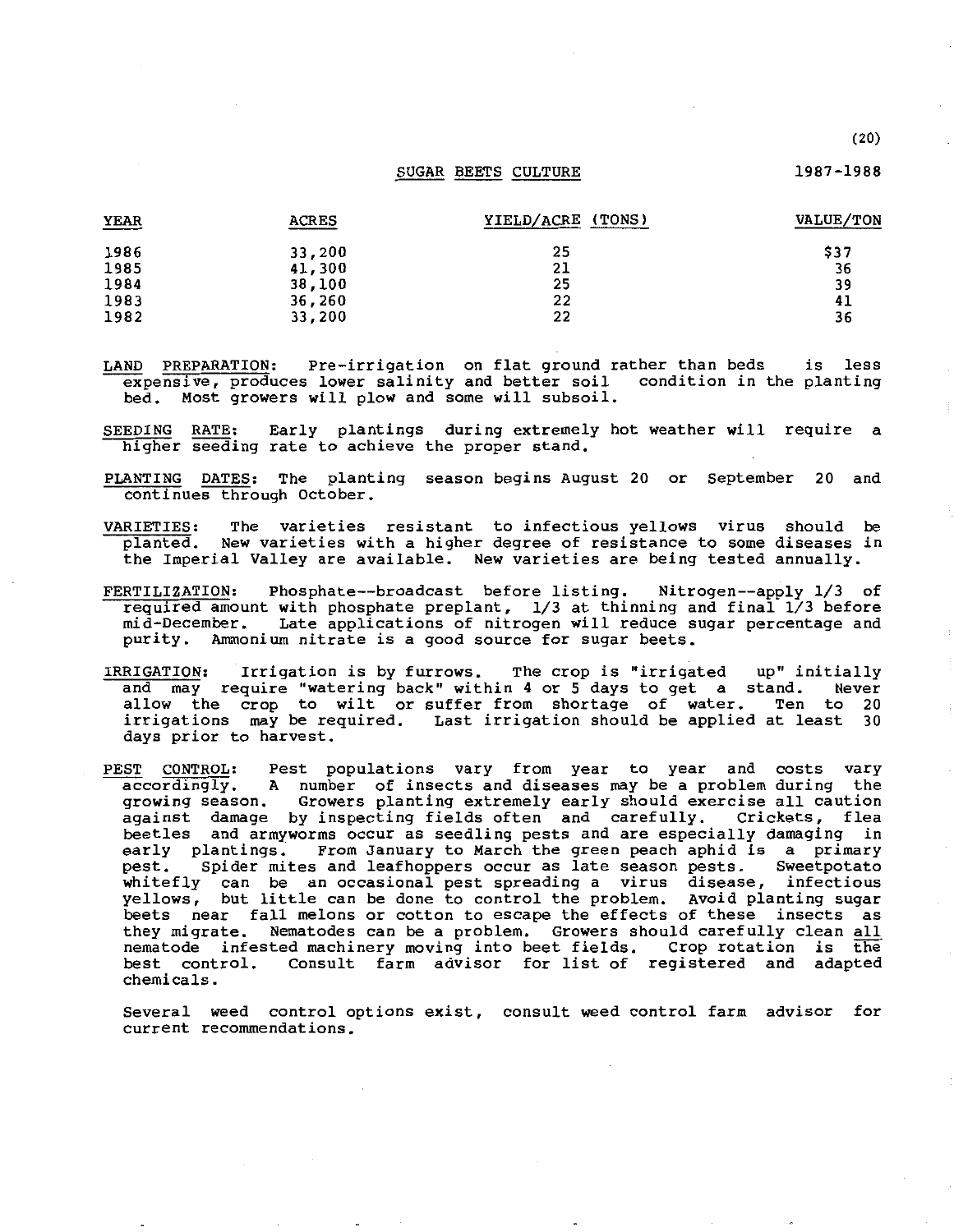#### SUGAR BEETS CULTURE

| YEAR | <b>ACRES</b> | YIELD/ACRE (TONS) | VALUE/TON |
|------|--------------|-------------------|-----------|
| 1986 | 33,200       | 25                | \$37      |
| 1985 | 41,300       | 21                | 36        |
| 1984 | 38,100       | 25                | 39        |
| 1983 | 36,260       | 22                | 41        |
| 1982 | 33,200       | 22                | 36        |

LAND PREPARATION: Pre-irrigation on flat ground rather than beds expensive, produces lower salinity and better soil bed. Most growers will plow and some will subsoil. is less condition in the planting

SEEDING RATE: Early plantings during extremely hot weather will require a higher seeding rate to achieve the proper stand.

- PLANTING DATES: The planting season begins August 20 or September 20 and continues through October.
- VARIETIES: The varieties resistant to infectious yellows virus should be planted. New varieties with a higher degree of resistance to some diseases in the Imperial Valley are available. New varieties are being tested annually.
- FERTILIZATION: Phosphate--broadcast before listing. Nitrogen--apply 1/3 of required amount with phosphate preplant, 1/3 at thinning and final 1/3 before mid-December. Late applications of nitrogen will reduce sugar percentage and purity. Ammonium nitrate is a good source for sugar beets.
- IRRIGATION: Irrigation is by furrows. The crop is "irrigated up" initially and may require "watering back" within 4 or 5 days to get a stand. Never allow the crop to wilt or suffer from shortage of water. Ten to 20 irrigations may be required. Last irrigation should be applied at least 30 days prior to harvest.
- PEST CONTROL: Pest populations vary from year to year and costs vary accordingly. A number of insects and diseases may be a problem during the growing season. Growers planting extremely early should exercise all caution Growers planting extremely early should exercise all caution<br>by inspecting fields often and carefully. Crickets, flea against damage by inspecting fields often and carefully. beetles and armyworms occur as seedling pests and are especially damaging in early plantings. From January to March the green peach aphid is a primary<br>pest. Spider mites and leafhoppers occur as late season pests. Sweetpotato Spider mites and leafhoppers occur as late season pests. Sweetpotato whitefly can be an occasional pest spreading a virus disease, infectious yellows, but little can be done to control the problem. Avoid planting sugar beets near fall melons or cotton to escape the effects of these insects as they migrate. Nematodes can be a problem. Growers should carefully clean all nematode infested machinery moving into beet fields. Crop rotation is the best control. Consult farm advisor for list of registered and adapted chemicals.

Several weed control options exist, consult weed control farm advisor for **current recommendations.** 

(20)

1987-1988